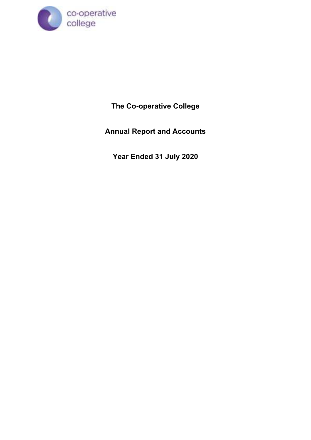

# **The Co-operative College**

# **Annual Report and Accounts**

**Year Ended 31 July 2020**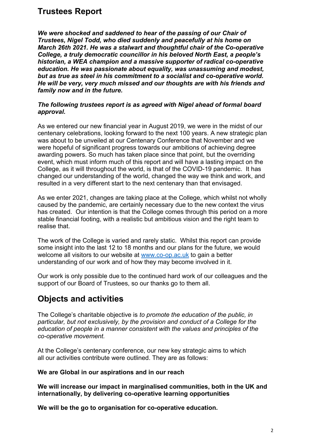*We were shocked and saddened to hear of the passing of our Chair of Trustees, Nigel Todd, who died suddenly and peacefully at his home on March 26th 2021. He was a stalwart and thoughtful chair of the Co-operative College, a truly democratic councillor in his beloved North East, a people's historian, a WEA champion and a massive supporter of radical co-operative education. He was passionate about equality, was unassuming and modest, but as true as steel in his commitment to a socialist and co-operative world. He will be very, very much missed and our thoughts are with his friends and family now and in the future.* 

#### *The following trustees report is as agreed with Nigel ahead of formal board approval.*

As we entered our new financial year in August 2019, we were in the midst of our centenary celebrations, looking forward to the next 100 years. A new strategic plan was about to be unveiled at our Centenary Conference that November and we were hopeful of significant progress towards our ambitions of achieving degree awarding powers. So much has taken place since that point, but the overriding event, which must inform much of this report and will have a lasting impact on the College, as it will throughout the world, is that of the COVID-19 pandemic. It has changed our understanding of the world, changed the way we think and work, and resulted in a very different start to the next centenary than that envisaged.

As we enter 2021, changes are taking place at the College, which whilst not wholly caused by the pandemic, are certainly necessary due to the new context the virus has created. Our intention is that the College comes through this period on a more stable financial footing, with a realistic but ambitious vision and the right team to realise that.

The work of the College is varied and rarely static. Whilst this report can provide some insight into the last 12 to 18 months and our plans for the future, we would welcome all visitors to our website at [www.co-op.ac.uk](http://www.co-op.ac.uk/) to gain a better understanding of our work and of how they may become involved in it.

Our work is only possible due to the continued hard work of our colleagues and the support of our Board of Trustees, so our thanks go to them all.

## **Objects and activities**

The College's charitable objective is *to promote the education of the public, in particular, but not exclusively, by the provision and conduct of a College for the education of people in a manner consistent with the values and principles of the co-operative movement.* 

At the College's centenary conference, our new key strategic aims to which all our activities contribute were outlined. They are as follows:

#### **We are Global in our aspirations and in our reach**

**We will increase our impact in marginalised communities, both in the UK and internationally, by delivering co-operative learning opportunities** 

**We will be the go to organisation for co-operative education.**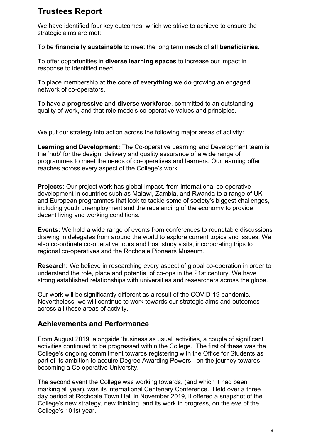We have identified four key outcomes, which we strive to achieve to ensure the strategic aims are met:

To be **financially sustainable** to meet the long term needs of **all beneficiaries.** 

To offer opportunities in **diverse learning spaces** to increase our impact in response to identified need.

To place membership at **the core of everything we do** growing an engaged network of co-operators.

To have a **progressive and diverse workforce**, committed to an outstanding quality of work, and that role models co-operative values and principles.

We put our strategy into action across the following major areas of activity:

**Learning and Development:** The Co-operative Learning and Development team is the 'hub' for the design, delivery and quality assurance of a wide range of programmes to meet the needs of co-operatives and learners. Our learning offer reaches across every aspect of the College's work.

**Projects:** Our project work has global impact, from international co-operative development in countries such as Malawi, Zambia, and Rwanda to a range of UK and European programmes that look to tackle some of society's biggest challenges, including youth unemployment and the rebalancing of the economy to provide decent living and working conditions.

**Events:** We hold a wide range of events from conferences to roundtable discussions drawing in delegates from around the world to explore current topics and issues. We also co-ordinate co-operative tours and host study visits, incorporating trips to regional co-operatives and the Rochdale Pioneers Museum.

**Research:** We believe in researching every aspect of global co-operation in order to understand the role, place and potential of co-ops in the 21st century. We have strong established relationships with universities and researchers across the globe.

Our work will be significantly different as a result of the COVID-19 pandemic. Nevertheless, we will continue to work towards our strategic aims and outcomes across all these areas of activity.

### **Achievements and Performance**

From August 2019, alongside 'business as usual' activities, a couple of significant activities continued to be progressed within the College. The first of these was the College's ongoing commitment towards registering with the Office for Students as part of its ambition to acquire Degree Awarding Powers - on the journey towards becoming a Co-operative University.

The second event the College was working towards, (and which it had been marking all year), was its international Centenary Conference. Held over a three day period at Rochdale Town Hall in November 2019, it offered a snapshot of the College's new strategy, new thinking, and its work in progress, on the eve of the College's 101st year.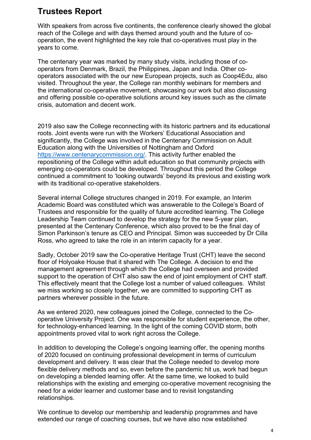With speakers from across five continents, the conference clearly showed the global reach of the College and with days themed around youth and the future of cooperation, the event highlighted the key role that co-operatives must play in the years to come.

The centenary year was marked by many study visits, including those of cooperators from Denmark, Brazil, the Philippines, Japan and India. Other cooperators associated with the our new European projects, such as Coop4Edu, also visited. Throughout the year, the College ran monthly webinars for members and the international co-operative movement, showcasing our work but also discussing and offering possible co-operative solutions around key issues such as the climate crisis, automation and decent work.

2019 also saw the College reconnecting with its historic partners and its educational roots. Joint events were run with the Workers' Educational Association and significantly, the College was involved in the Centenary Commission on Adult Education along with the Universities of Nottingham and Oxford [https://www.centenarycommission.org/.](https://www.centenarycommission.org/) This activity further enabled the repositioning of the College within adult education so that community projects with emerging co-operators could be developed. Throughout this period the College continued a commitment to 'looking outwards' beyond its previous and existing work with its traditional co-operative stakeholders.

Several internal College structures changed in 2019. For example, an Interim Academic Board was constituted which was answerable to the College's Board of Trustees and responsible for the quality of future accredited learning. The College Leadership Team continued to develop the strategy for the new 5-year plan, presented at the Centenary Conference, which also proved to be the final day of Simon Parkinson's tenure as CEO and Principal. Simon was succeeded by Dr Cilla Ross, who agreed to take the role in an interim capacity for a year.

Sadly, October 2019 saw the Co-operative Heritage Trust (CHT) leave the second floor of Holyoake House that it shared with The College. A decision to end the management agreement through which the College had overseen and provided support to the operation of CHT also saw the end of joint employment of CHT staff. This effectively meant that the College lost a number of valued colleagues. Whilst we miss working so closely together, we are committed to supporting CHT as partners wherever possible in the future.

As we entered 2020, new colleagues joined the College, connected to the Cooperative University Project. One was responsible for student experience, the other, for technology-enhanced learning. In the light of the coming COVID storm, both appointments proved vital to work right across the College.

In addition to developing the College's ongoing learning offer, the opening months of 2020 focused on continuing professional development in terms of curriculum development and delivery. It was clear that the College needed to develop more flexible delivery methods and so, even before the pandemic hit us, work had begun on developing a blended learning offer. At the same time, we looked to build relationships with the existing and emerging co-operative movement recognising the need for a wider learner and customer base and to revisit longstanding relationships.

We continue to develop our membership and leadership programmes and have extended our range of coaching courses, but we have also now established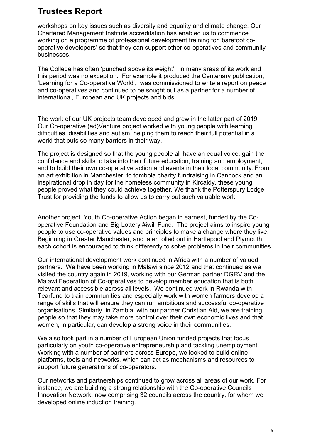workshops on key issues such as diversity and equality and climate change. Our Chartered Management Institute accreditation has enabled us to commence working on a programme of professional development training for 'barefoot cooperative developers' so that they can support other co-operatives and community businesses.

The College has often 'punched above its weight' in many areas of its work and this period was no exception. For example it produced the Centenary publication, 'Learning for a Co-operative World', was commissioned to write a report on peace and co-operatives and continued to be sought out as a partner for a number of international, European and UK projects and bids.

The work of our UK projects team developed and grew in the latter part of 2019. Our Co-operative (ad)Venture project worked with young people with learning difficulties, disabilities and autism, helping them to reach their full potential in a world that puts so many barriers in their way.

The project is designed so that the young people all have an equal voice, gain the confidence and skills to take into their future education, training and employment, and to build their own co-operative action and events in their local community. From an art exhibition in Manchester, to tombola charity fundraising in Cannock and an inspirational drop in day for the homeless community in Kircaldy, these young people proved what they could achieve together. We thank the Potterspury Lodge Trust for providing the funds to allow us to carry out such valuable work.

Another project, Youth Co-operative Action began in earnest, funded by the Cooperative Foundation and Big Lottery #iwill Fund. The project aims to inspire young people to use co-operative values and principles to make a change where they live. Beginning in Greater Manchester, and later rolled out in Hartlepool and Plymouth, each cohort is encouraged to think differently to solve problems in their communities.

Our international development work continued in Africa with a number of valued partners. We have been working in Malawi since 2012 and that continued as we visited the country again in 2019, working with our German partner DGRV and the Malawi Federation of Co-operatives to develop member education that is both relevant and accessible across all levels. We continued work in Rwanda with Tearfund to train communities and especially work with women farmers develop a range of skills that will ensure they can run ambitious and successful co-operative organisations. Similarly, in Zambia, with our partner Christian Aid, we are training people so that they may take more control over their own economic lives and that women, in particular, can develop a strong voice in their communities.

We also took part in a number of European Union funded projects that focus particularly on youth co-operative entrepreneurship and tackling unemployment. Working with a number of partners across Europe, we looked to build online platforms, tools and networks, which can act as mechanisms and resources to support future generations of co-operators.

Our networks and partnerships continued to grow across all areas of our work. For instance, we are building a strong relationship with the Co-operative Councils Innovation Network, now comprising 32 councils across the country, for whom we developed online induction training.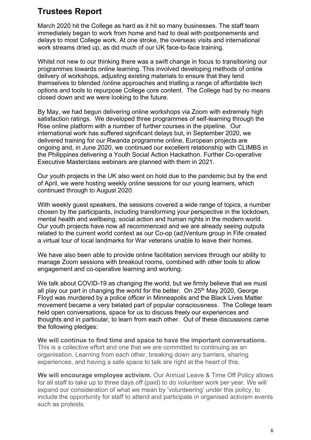March 2020 hit the College as hard as it hit so many businesses. The staff team immediately began to work from home and had to deal with postponements and delays to most College work. At one stroke, the overseas visits and international work streams dried up, as did much of our UK face-to-face training.

Whilst not new to our thinking there was a swift change in focus to transitioning our programmes towards online learning. This involved developing methods of online delivery of workshops, adjusting existing materials to ensure that they lend themselves to blended /online approaches and trialling a range of affordable tech options and tools to repurpose College core content. The College had by no means closed down and we were looking to the future.

By May, we had begun delivering online workshops via Zoom with extremely high satisfaction ratings. We developed three programmes of self-learning through the Rise online platform with a number of further courses in the pipeline. Our international work has suffered significant delays but, in September 2020, we delivered training for our Rwanda programme online, European projects are ongoing and, in June 2020, we continued our excellent relationship with CLIMBS in the Philippines delivering a Youth Social Action Hackathon. Further Co-operative Executive Masterclass webinars are planned with them in 2021.

Our youth projects in the UK also went on hold due to the pandemic but by the end of April, we were hosting weekly online sessions for our young learners, which continued through to August 2020.

With weekly guest speakers, the sessions covered a wide range of topics, a number chosen by the participants, including transforming your perspective in the lockdown, mental health and wellbeing, social action and human rights in the modern world. Our youth projects have now all recommenced and we are already seeing outputs related to the current world context as our Co-op (ad)Venture group in Fife created a virtual tour of local landmarks for War veterans unable to leave their homes.

We have also been able to provide online facilitation services through our ability to manage Zoom sessions with breakout rooms, combined with other tools to allow engagement and co-operative learning and working.

We talk about COVID-19 as changing the world, but we firmly believe that we must all play our part in changing the world for the better. On  $25<sup>th</sup>$  May 2020, George Floyd was murdered by a police officer in Minneapolis and the Black Lives Matter movement became a very belated part of popular consciousness. The College team held open conversations, space for us to discuss freely our experiences and thoughts and in particular, to learn from each other. Out of these discussions came the following pledges:

**We will continue to find time and space to have the important conversations.** This is a collective effort and one that we are committed to continuing as an organisation. Learning from each other, breaking down any barriers, sharing experiences, and having a safe space to talk are right at the heart of this.

**We will encourage employee activism.** Our Annual Leave & Time Off Policy allows for all staff to take up to three days off (paid) to do volunteer work per year. We will expand our consideration of what we mean by 'volunteering' under this policy, to include the opportunity for staff to attend and participate in organised activism events such as protests.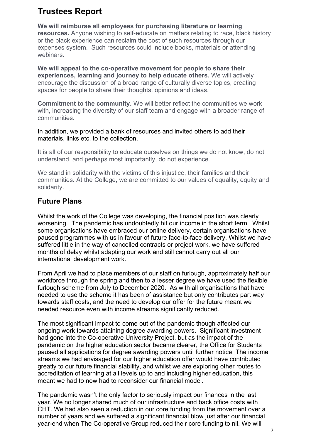**We will reimburse all employees for purchasing literature or learning resources.** Anyone wishing to self-educate on matters relating to race, black history or the black experience can reclaim the cost of such resources through our expenses system. Such resources could include books, materials or attending webinars.

**We will appeal to the co-operative movement for people to share their experiences, learning and journey to help educate others.** We will actively encourage the discussion of a broad range of culturally diverse topics, creating spaces for people to share their thoughts, opinions and ideas.

**Commitment to the community.** We will better reflect the communities we work with, increasing the diversity of our staff team and engage with a broader range of communities.

In addition, we provided a bank of resources and invited others to add their materials, links etc. to the collection.

It is all of our responsibility to educate ourselves on things we do not know, do not understand, and perhaps most importantly, do not experience.

We stand in solidarity with the victims of this injustice, their families and their communities. At the College, we are committed to our values of equality, equity and solidarity.

### **Future Plans**

Whilst the work of the College was developing, the financial position was clearly worsening. The pandemic has undoubtedly hit our income in the short term. Whilst some organisations have embraced our online delivery, certain organisations have paused programmes with us in favour of future face-to-face delivery. Whilst we have suffered little in the way of cancelled contracts or project work, we have suffered months of delay whilst adapting our work and still cannot carry out all our international development work.

From April we had to place members of our staff on furlough, approximately half our workforce through the spring and then to a lesser degree we have used the flexible furlough scheme from July to December 2020. As with all organisations that have needed to use the scheme it has been of assistance but only contributes part way towards staff costs, and the need to develop our offer for the future meant we needed resource even with income streams significantly reduced.

The most significant impact to come out of the pandemic though affected our ongoing work towards attaining degree awarding powers. Significant investment had gone into the Co-operative University Project, but as the impact of the pandemic on the higher education sector became clearer, the Office for Students paused all applications for degree awarding powers until further notice. The income streams we had envisaged for our higher education offer would have contributed greatly to our future financial stability, and whilst we are exploring other routes to accreditation of learning at all levels up to and including higher education, this meant we had to now had to reconsider our financial model.

The pandemic wasn't the only factor to seriously impact our finances in the last year. We no longer shared much of our infrastructure and back office costs with CHT. We had also seen a reduction in our core funding from the movement over a number of years and we suffered a significant financial blow just after our financial year-end when The Co-operative Group reduced their core funding to nil. We will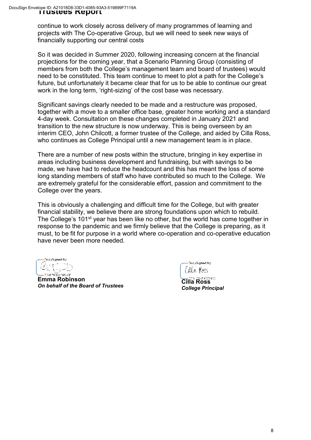continue to work closely across delivery of many programmes of learning and projects with The Co-operative Group, but we will need to seek new ways of financially supporting our central costs

So it was decided in Summer 2020, following increasing concern at the financial projections for the coming year, that a Scenario Planning Group (consisting of members from both the College's management team and board of trustees) would need to be constituted. This team continue to meet to plot a path for the College's future, but unfortunately it became clear that for us to be able to continue our great work in the long term, 'right-sizing' of the cost base was necessary.

Significant savings clearly needed to be made and a restructure was proposed, together with a move to a smaller office base, greater home working and a standard 4-day week. Consultation on these changes completed in January 2021 and transition to the new structure is now underway. This is being overseen by an interim CEO, John Chilcott, a former trustee of the College, and aided by Cilla Ross, who continues as College Principal until a new management team is in place.

There are a number of new posts within the structure, bringing in key expertise in areas including business development and fundraising, but with savings to be made, we have had to reduce the headcount and this has meant the loss of some long standing members of staff who have contributed so much to the College. We are extremely grateful for the considerable effort, passion and commitment to the College over the years.

This is obviously a challenging and difficult time for the College, but with greater financial stability, we believe there are strong foundations upon which to rebuild. The College's 101<sup>st</sup> year has been like no other, but the world has come together in response to the pandemic and we firmly believe that the College is preparing, as it must, to be fit for purpose in a world where co-operation and co-operative education have never been more needed.

DrouSigned hvo  $\mathcal{O}^{(1+\delta/2) \times 1}$ 

saranÿee esaar *On behalf of the Board of Trustees* **Cilla Ross Emma Robinson** 

**Decadement for** ulla Ross

*College Principal*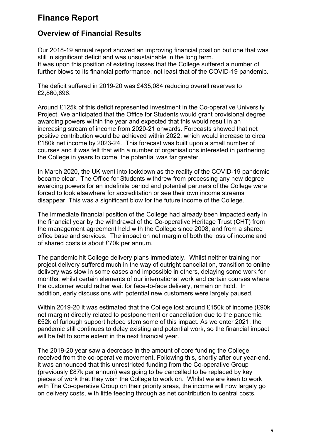### **Overview of Financial Results**

Our 2018-19 annual report showed an improving financial position but one that was still in significant deficit and was unsustainable in the long term. It was upon this position of existing losses that the College suffered a number of further blows to its financial performance, not least that of the COVID-19 pandemic.

The deficit suffered in 2019-20 was £435,084 reducing overall reserves to £2,860,696.

Around £125k of this deficit represented investment in the Co-operative University Project. We anticipated that the Office for Students would grant provisional degree awarding powers within the year and expected that this would result in an increasing stream of income from 2020-21 onwards. Forecasts showed that net positive contribution would be achieved within 2022, which would increase to circa £180k net income by 2023-24. This forecast was built upon a small number of courses and it was felt that with a number of organisations interested in partnering the College in years to come, the potential was far greater.

In March 2020, the UK went into lockdown as the reality of the COVID-19 pandemic became clear. The Office for Students withdrew from processing any new degree awarding powers for an indefinite period and potential partners of the College were forced to look elsewhere for accreditation or see their own income streams disappear. This was a significant blow for the future income of the College.

The immediate financial position of the College had already been impacted early in the financial year by the withdrawal of the Co-operative Heritage Trust (CHT) from the management agreement held with the College since 2008, and from a shared office base and services. The impact on net margin of both the loss of income and of shared costs is about £70k per annum.

The pandemic hit College delivery plans immediately. Whilst neither training nor project delivery suffered much in the way of outright cancellation, transition to online delivery was slow in some cases and impossible in others, delaying some work for months, whilst certain elements of our international work and certain courses where the customer would rather wait for face-to-face delivery, remain on hold. In addition, early discussions with potential new customers were largely paused.

Within 2019-20 it was estimated that the College lost around £150k of income (£90k) net margin) directly related to postponement or cancellation due to the pandemic. £52k of furlough support helped stem some of this impact. As we enter 2021, the pandemic still continues to delay existing and potential work, so the financial impact will be felt to some extent in the next financial year.

The 2019-20 year saw a decrease in the amount of core funding the College received from the co-operative movement. Following this, shortly after our year-end, it was announced that this unrestricted funding from the Co-operative Group (previously £87k per annum) was going to be cancelled to be replaced by key pieces of work that they wish the College to work on. Whilst we are keen to work with The Co-operative Group on their priority areas, the income will now largely go on delivery costs, with little feeding through as net contribution to central costs.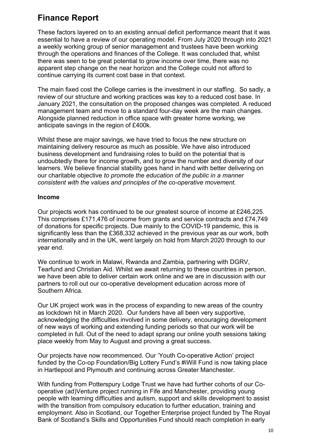These factors layered on to an existing annual deficit performance meant that it was essential to have a review of our operating model. From July 2020 through into 2021 a weekly working group of senior management and trustees have been working through the operations and finances of the College. It was concluded that, whilst there was seen to be great potential to grow income over time, there was no apparent step change on the near horizon and the College could not afford to continue carrying its current cost base in that context.

The main fixed cost the College carries is the investment in our staffing. So sadly, a review of our structure and working practices was key to a reduced cost base. In January 2021, the consultation on the proposed changes was completed. A reduced management team and move to a standard four-day week are the main changes. Alongside planned reduction in office space with greater home working, we anticipate savings in the region of £400k.

Whilst these are major savings, we have tried to focus the new structure on maintaining delivery resource as much as possible. We have also introduced business development and fundraising roles to build on the potential that is undoubtedly there for income growth, and to grow the number and diversity of our learners. We believe financial stability goes hand in hand with better delivering on our charitable objective *to promote the education of the public in a manner consistent with the values and principles of the co-operative movement.* 

#### **Income**

Our projects work has continued to be our greatest source of income at £246,225. This comprises £171,476 of income from grants and service contracts and £74,749 of donations for specific projects. Due mainly to the COVID-19 pandemic, this is significantly less than the £368,332 achieved in the previous year as our work, both internationally and in the UK, went largely on hold from March 2020 through to our year end.

We continue to work in Malawi, Rwanda and Zambia, partnering with DGRV, Tearfund and Christian Aid. Whilst we await returning to these countries in person, we have been able to deliver certain work online and we are in discussion with our partners to roll out our co-operative development education across more of Southern Africa.

Our UK project work was in the process of expanding to new areas of the country as lockdown hit in March 2020. Our funders have all been very supportive, acknowledging the difficulties involved in some delivery, encouraging development of new ways of working and extending funding periods so that our work will be completed in full. Out of the need to adapt sprang our online youth sessions taking place weekly from May to August and proving a great success.

Our projects have now recommenced. Our 'Youth Co-operative Action' project funded by the Co-op Foundation/Big Lottery Fund's #iWill Fund is now taking place in Hartlepool and Plymouth and continuing across Greater Manchester.

With funding from Potterspury Lodge Trust we have had further cohorts of our Cooperative (ad)Venture project running in Fife and Manchester, providing young people with learning difficulties and autism, support and skills development to assist with the transition from compulsory education to further education, training and employment. Also in Scotland, our Together Enterprise project funded by The Royal Bank of Scotland's Skills and Opportunities Fund should reach completion in early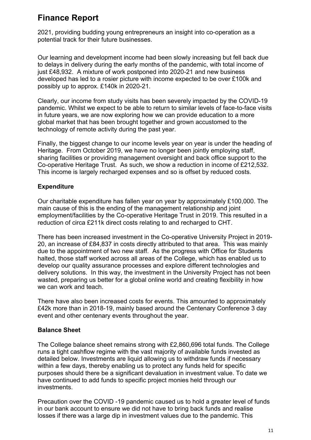2021, providing budding young entrepreneurs an insight into co-operation as a potential track for their future businesses.

Our learning and development income had been slowly increasing but fell back due to delays in delivery during the early months of the pandemic, with total income of just £48,932. A mixture of work postponed into 2020-21 and new business developed has led to a rosier picture with income expected to be over £100k and possibly up to approx. £140k in 2020-21.

Clearly, our income from study visits has been severely impacted by the COVID-19 pandemic. Whilst we expect to be able to return to similar levels of face-to-face visits in future years, we are now exploring how we can provide education to a more global market that has been brought together and grown accustomed to the technology of remote activity during the past year.

Finally, the biggest change to our income levels year on year is under the heading of Heritage. From October 2019, we have no longer been jointly employing staff, sharing facilities or providing management oversight and back office support to the Co-operative Heritage Trust. As such, we show a reduction in income of £212,532. This income is largely recharged expenses and so is offset by reduced costs.

### **Expenditure**

Our charitable expenditure has fallen year on year by approximately £100,000. The main cause of this is the ending of the management relationship and joint employment/facilities by the Co-operative Heritage Trust in 2019. This resulted in a reduction of circa £211k direct costs relating to and recharged to CHT.

There has been increased investment in the Co-operative University Project in 2019- 20, an increase of £84,837 in costs directly attributed to that area. This was mainly due to the appointment of two new staff. As the progress with Office for Students halted, those staff worked across all areas of the College, which has enabled us to develop our quality assurance processes and explore different technologies and delivery solutions. In this way, the investment in the University Project has not been wasted, preparing us better for a global online world and creating flexibility in how we can work and teach.

There have also been increased costs for events. This amounted to approximately £42k more than in 2018-19, mainly based around the Centenary Conference 3 day event and other centenary events throughout the year.

### **Balance Sheet**

The College balance sheet remains strong with £2,860,696 total funds. The College runs a tight cashflow regime with the vast majority of available funds invested as detailed below. Investments are liquid allowing us to withdraw funds if necessary within a few days, thereby enabling us to protect any funds held for specific purposes should there be a significant devaluation in investment value. To date we have continued to add funds to specific project monies held through our investments.

Precaution over the COVID -19 pandemic caused us to hold a greater level of funds in our bank account to ensure we did not have to bring back funds and realise losses if there was a large dip in investment values due to the pandemic. This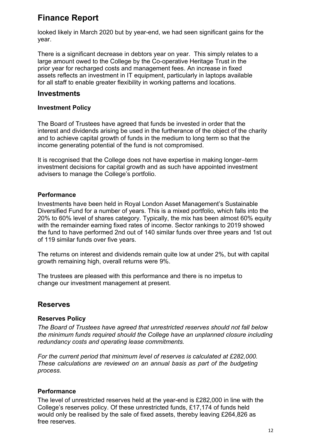looked likely in March 2020 but by year-end, we had seen significant gains for the year.

There is a significant decrease in debtors year on year. This simply relates to a large amount owed to the College by the Co-operative Heritage Trust in the prior year for recharged costs and management fees. An increase in fixed assets reflects an investment in IT equipment, particularly in laptops available for all staff to enable greater flexibility in working patterns and locations.

### **Investments**

### **Investment Policy**

The Board of Trustees have agreed that funds be invested in order that the interest and dividends arising be used in the furtherance of the object of the charity and to achieve capital growth of funds in the medium to long term so that the income generating potential of the fund is not compromised.

It is recognised that the College does not have expertise in making longer–term investment decisions for capital growth and as such have appointed investment advisers to manage the College's portfolio.

### **Performance**

Investments have been held in Royal London Asset Management's Sustainable Diversified Fund for a number of years. This is a mixed portfolio, which falls into the 20% to 60% level of shares category. Typically, the mix has been almost 60% equity with the remainder earning fixed rates of income. Sector rankings to 2019 showed the fund to have performed 2nd out of 140 similar funds over three years and 1st out of 119 similar funds over five years.

The returns on interest and dividends remain quite low at under 2%, but with capital growth remaining high, overall returns were 9%.

The trustees are pleased with this performance and there is no impetus to change our investment management at present.

### **Reserves**

### **Reserves Policy**

*The Board of Trustees have agreed that unrestricted reserves should not fall below the minimum funds required should the College have an unplanned closure including redundancy costs and operating lease commitments.* 

*For the current period that minimum level of reserves is calculated at £282,000. These calculations are reviewed on an annual basis as part of the budgeting process.* 

### **Performance**

The level of unrestricted reserves held at the year-end is £282,000 in line with the College's reserves policy. Of these unrestricted funds, £17,174 of funds held would only be realised by the sale of fixed assets, thereby leaving £264,826 as free reserves.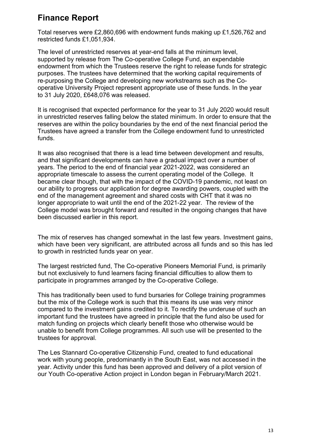Total reserves were £2,860,696 with endowment funds making up £1,526,762 and restricted funds £1,051,934.

The level of unrestricted reserves at year-end falls at the minimum level, supported by release from The Co-operative College Fund, an expendable endowment from which the Trustees reserve the right to release funds for strategic purposes. The trustees have determined that the working capital requirements of re-purposing the College and developing new workstreams such as the Cooperative University Project represent appropriate use of these funds. In the year to 31 July 2020, £648,076 was released.

It is recognised that expected performance for the year to 31 July 2020 would result in unrestricted reserves falling below the stated minimum. In order to ensure that the reserves are within the policy boundaries by the end of the next financial period the Trustees have agreed a transfer from the College endowment fund to unrestricted funds.

It was also recognised that there is a lead time between development and results, and that significant developments can have a gradual impact over a number of years. The period to the end of financial year 2021-2022, was considered an appropriate timescale to assess the current operating model of the College. It became clear though, that with the impact of the COVID-19 pandemic, not least on our ability to progress our application for degree awarding powers, coupled with the end of the management agreement and shared costs with CHT that it was no longer appropriate to wait until the end of the 2021-22 year. The review of the College model was brought forward and resulted in the ongoing changes that have been discussed earlier in this report.

The mix of reserves has changed somewhat in the last few years. Investment gains, which have been very significant, are attributed across all funds and so this has led to growth in restricted funds year on year.

The largest restricted fund, The Co-operative Pioneers Memorial Fund, is primarily but not exclusively to fund learners facing financial difficulties to allow them to participate in programmes arranged by the Co-operative College.

This has traditionally been used to fund bursaries for College training programmes but the mix of the College work is such that this means its use was very minor compared to the investment gains credited to it. To rectify the underuse of such an important fund the trustees have agreed in principle that the fund also be used for match funding on projects which clearly benefit those who otherwise would be unable to benefit from College programmes. All such use will be presented to the trustees for approval.

The Les Stannard Co-operative Citizenship Fund, created to fund educational work with young people, predominantly in the South East, was not accessed in the year. Activity under this fund has been approved and delivery of a pilot version of our Youth Co-operative Action project in London began in February/March 2021.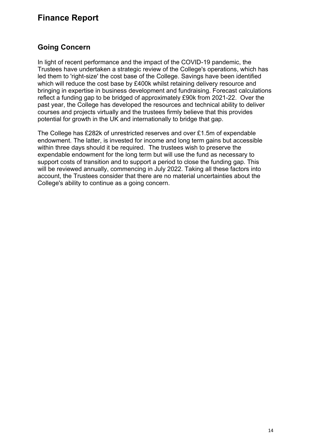### **Going Concern**

In light of recent performance and the impact of the COVID-19 pandemic, the Trustees have undertaken a strategic review of the College's operations, which has led them to 'right-size' the cost base of the College. Savings have been identified which will reduce the cost base by £400k whilst retaining delivery resource and bringing in expertise in business development and fundraising. Forecast calculations reflect a funding gap to be bridged of approximately £90k from 2021-22. Over the past year, the College has developed the resources and technical ability to deliver courses and projects virtually and the trustees firmly believe that this provides potential for growth in the UK and internationally to bridge that gap.

The College has £282k of unrestricted reserves and over £1.5m of expendable endowment. The latter, is invested for income and long term gains but accessible within three days should it be required. The trustees wish to preserve the expendable endowment for the long term but will use the fund as necessary to support costs of transition and to support a period to close the funding gap. This will be reviewed annually, commencing in July 2022. Taking all these factors into account, the Trustees consider that there are no material uncertainties about the College's ability to continue as a going concern.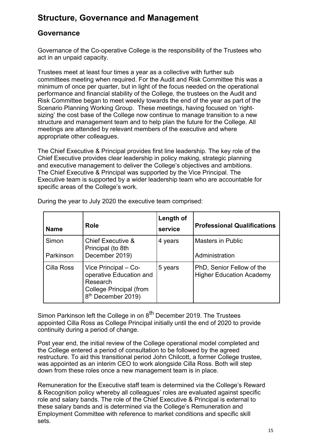### **Governance**

Governance of the Co-operative College is the responsibility of the Trustees who act in an unpaid capacity.

Trustees meet at least four times a year as a collective with further sub committees meeting when required. For the Audit and Risk Committee this was a minimum of once per quarter, but in light of the focus needed on the operational performance and financial stability of the College, the trustees on the Audit and Risk Committee began to meet weekly towards the end of the year as part of the Scenario Planning Working Group. These meetings, having focused on 'rightsizing' the cost base of the College now continue to manage transition to a new structure and management team and to help plan the future for the College. All meetings are attended by relevant members of the executive and where appropriate other colleagues.

The Chief Executive & Principal provides first line leadership. The key role of the Chief Executive provides clear leadership in policy making, strategic planning and executive management to deliver the College's objectives and ambitions. The Chief Executive & Principal was supported by the Vice Principal. The Executive team is supported by a wider leadership team who are accountable for specific areas of the College's work.

| <b>Name</b>        | Role                                                                                                                              | Length of<br>service | <b>Professional Qualifications</b>                           |
|--------------------|-----------------------------------------------------------------------------------------------------------------------------------|----------------------|--------------------------------------------------------------|
| Simon<br>Parkinson | Chief Executive &<br>Principal (to 8th<br>December 2019)                                                                          | 4 years              | <b>Masters in Public</b><br>Administration                   |
| Cilla Ross         | Vice Principal $-$ Co-<br>operative Education and<br>Research<br><b>College Principal (from</b><br>8 <sup>th</sup> December 2019) | 5 years              | PhD, Senior Fellow of the<br><b>Higher Education Academy</b> |

During the year to July 2020 the executive team comprised:

Simon Parkinson left the College in on 8<sup>th</sup> December 2019. The Trustees appointed Cilla Ross as College Principal initially until the end of 2020 to provide continuity during a period of change.

Post year end, the initial review of the College operational model completed and the College entered a period of consultation to be followed by the agreed restructure. To aid this transitional period John Chilcott, a former College trustee, was appointed as an interim CEO to work alongside Cilla Ross. Both will step down from these roles once a new management team is in place.

Remuneration for the Executive staff team is determined via the College's Reward & Recognition policy whereby all colleagues' roles are evaluated against specific role and salary bands. The role of the Chief Executive & Principal is external to these salary bands and is determined via the College's Remuneration and Employment Committee with reference to market conditions and specific skill sets.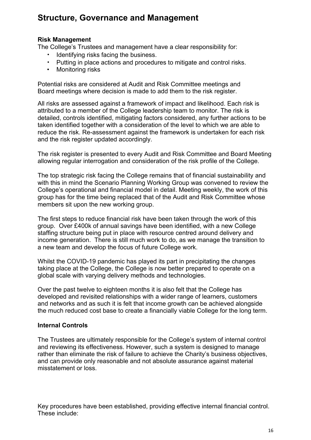### **Risk Management**

The College's Trustees and management have a clear responsibility for:

- Identifying risks facing the business.
- Putting in place actions and procedures to mitigate and control risks.
- Monitoring risks

Potential risks are considered at Audit and Risk Committee meetings and Board meetings where decision is made to add them to the risk register.

All risks are assessed against a framework of impact and likelihood. Each risk is attributed to a member of the College leadership team to monitor. The risk is detailed, controls identified, mitigating factors considered, any further actions to be taken identified together with a consideration of the level to which we are able to reduce the risk. Re-assessment against the framework is undertaken for each risk and the risk register updated accordingly.

The risk register is presented to every Audit and Risk Committee and Board Meeting allowing regular interrogation and consideration of the risk profile of the College.

The top strategic risk facing the College remains that of financial sustainability and with this in mind the Scenario Planning Working Group was convened to review the College's operational and financial model in detail. Meeting weekly, the work of this group has for the time being replaced that of the Audit and Risk Committee whose members sit upon the new working group.

The first steps to reduce financial risk have been taken through the work of this group. Over £400k of annual savings have been identified, with a new College staffing structure being put in place with resource centred around delivery and income generation. There is still much work to do, as we manage the transition to a new team and develop the focus of future College work.

Whilst the COVID-19 pandemic has played its part in precipitating the changes taking place at the College, the College is now better prepared to operate on a global scale with varying delivery methods and technologies.

Over the past twelve to eighteen months it is also felt that the College has developed and revisited relationships with a wider range of learners, customers and networks and as such it is felt that income growth can be achieved alongside the much reduced cost base to create a financially viable College for the long term.

#### **Internal Controls**

The Trustees are ultimately responsible for the College's system of internal control and reviewing its effectiveness. However, such a system is designed to manage rather than eliminate the risk of failure to achieve the Charity's business objectives, and can provide only reasonable and not absolute assurance against material misstatement or loss.

Key procedures have been established, providing effective internal financial control. These include: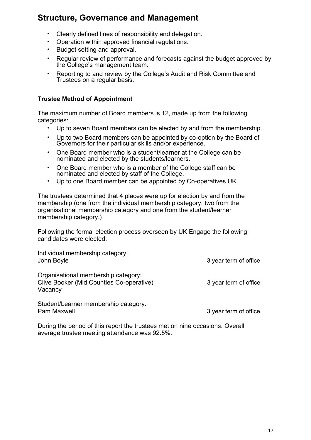- Clearly defined lines of responsibility and delegation.
- Operation within approved financial regulations.
- Budget setting and approval.
- Regular review of performance and forecasts against the budget approved by the College's management team.
- Reporting to and review by the College's Audit and Risk Committee and Trustees on a regular basis.

### **Trustee Method of Appointment**

The maximum number of Board members is 12, made up from the following categories:

- Up to seven Board members can be elected by and from the membership.
- Up to two Board members can be appointed by co-option by the Board of Governors for their particular skills and/or experience.
- One Board member who is a student/learner at the College can be nominated and elected by the students/learners.
- One Board member who is a member of the College staff can be nominated and elected by staff of the College.
- Up to one Board member can be appointed by Co-operatives UK.

The trustees determined that 4 places were up for election by and from the membership (one from the individual membership category, two from the organisational membership category and one from the student/learner membership category.)

Following the formal election process overseen by UK Engage the following candidates were elected:

| Individual membership category:<br>John Boyle                                              | 3 year term of office |
|--------------------------------------------------------------------------------------------|-----------------------|
| Organisational membership category:<br>Clive Booker (Mid Counties Co-operative)<br>Vacancy | 3 year term of office |
| Student/Learner membership category:<br>Pam Maxwell                                        | 3 year term of office |

During the period of this report the trustees met on nine occasions. Overall average trustee meeting attendance was 92.5%.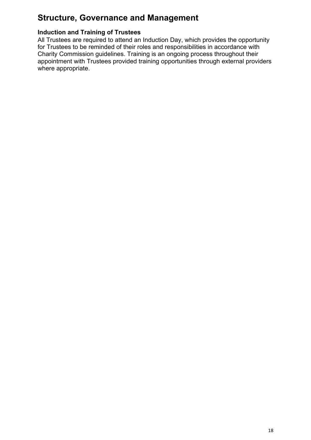### **Induction and Training of Trustees**

All Trustees are required to attend an Induction Day, which provides the opportunity for Trustees to be reminded of their roles and responsibilities in accordance with Charity Commission guidelines. Training is an ongoing process throughout their appointment with Trustees provided training opportunities through external providers where appropriate.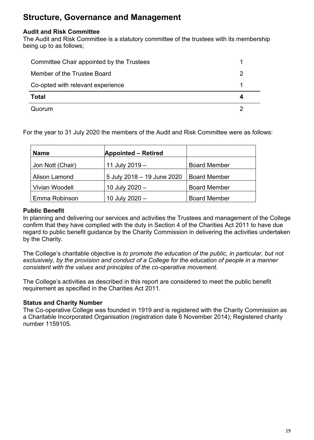#### **Audit and Risk Committee**

The Audit and Risk Committee is a statutory committee of the trustees with its membership being up to as follows;

| Quorum                                    |   |
|-------------------------------------------|---|
| <b>Total</b>                              | 4 |
| Co-opted with relevant experience         |   |
| Member of the Trustee Board               |   |
| Committee Chair appointed by the Trustees |   |

For the year to 31 July 2020 the members of the Audit and Risk Committee were as follows:

| <b>Name</b>      | <b>Appointed - Retired</b> |                     |
|------------------|----------------------------|---------------------|
| Jon Nott (Chair) | 11 July 2019 -             | <b>Board Member</b> |
| Alison Lamond    | 5 July 2018 - 19 June 2020 | <b>Board Member</b> |
| Vivian Woodell   | 10 July 2020 -             | <b>Board Member</b> |
| Emma Robinson    | 10 July 2020 -             | <b>Board Member</b> |

### **Public Benefit**

In planning and delivering our services and activities the Trustees and management of the College confirm that they have complied with the duty in Section 4 of the Charities Act 2011 to have due regard to public benefit guidance by the Charity Commission in delivering the activities undertaken by the Charity.

The College's charitable objective is *to promote the education of the public, in particular, but not exclusively, by the provision and conduct of a College for the education of people in a manner consistent with the values and principles of the co-operative movement.* 

The College's activities as described in this report are considered to meet the public benefit requirement as specified in the Charities Act 2011.

### **Status and Charity Number**

The Co-operative College was founded in 1919 and is registered with the Charity Commission as a Charitable Incorporated Organisation (registration date 6 November 2014); Registered charity number 1159105.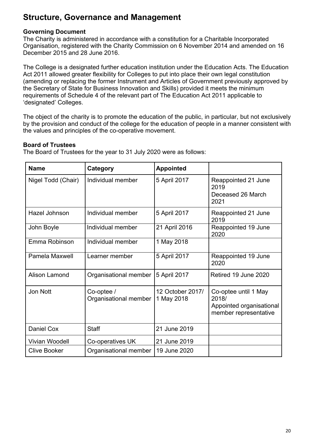### **Governing Document**

The Charity is administered in accordance with a constitution for a Charitable Incorporated Organisation, registered with the Charity Commission on 6 November 2014 and amended on 16 December 2015 and 28 June 2016.

The College is a designated further education institution under the Education Acts. The Education Act 2011 allowed greater flexibility for Colleges to put into place their own legal constitution (amending or replacing the former Instrument and Articles of Government previously approved by the Secretary of State for Business Innovation and Skills) provided it meets the minimum requirements of Schedule 4 of the relevant part of The Education Act 2011 applicable to 'designated' Colleges.

The object of the charity is to promote the education of the public, in particular, but not exclusively by the provision and conduct of the college for the education of people in a manner consistent with the values and principles of the co-operative movement.

### **Board of Trustees**

The Board of Trustees for the year to 31 July 2020 were as follows:

| <b>Name</b>         | Category                            | <b>Appointed</b>               |                                                                                    |
|---------------------|-------------------------------------|--------------------------------|------------------------------------------------------------------------------------|
| Nigel Todd (Chair)  | Individual member                   | 5 April 2017                   | Reappointed 21 June<br>2019<br>Deceased 26 March<br>2021                           |
| Hazel Johnson       | Individual member                   | 5 April 2017                   | Reappointed 21 June<br>2019                                                        |
| John Boyle          | Individual member                   | 21 April 2016                  | Reappointed 19 June<br>2020                                                        |
| Emma Robinson       | Individual member                   | 1 May 2018                     |                                                                                    |
| Pamela Maxwell      | Learner member                      | 5 April 2017                   | Reappointed 19 June<br>2020                                                        |
| Alison Lamond       | Organisational member               | 5 April 2017                   | Retired 19 June 2020                                                               |
| Jon Nott            | Co-optee /<br>Organisational member | 12 October 2017/<br>1 May 2018 | Co-optee until 1 May<br>2018/<br>Appointed organisational<br>member representative |
| Daniel Cox          | <b>Staff</b>                        | 21 June 2019                   |                                                                                    |
| Vivian Woodell      | Co-operatives UK                    | 21 June 2019                   |                                                                                    |
| <b>Clive Booker</b> | Organisational member               | 19 June 2020                   |                                                                                    |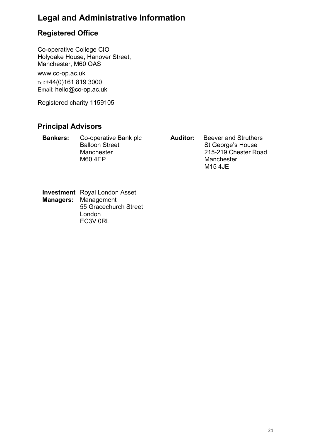# **Legal and Administrative Information**

### **Registered Office**

Co-operative College CIO Holyoake House, Hanover Street, Manchester, M60 OAS

www.co-op.ac.uk Tel:+44(0)161 819 3000 Email: hello@co-op.ac.uk

Registered charity 1159105

### **Principal Advisors**

| <b>Bankers:</b> | Co-operative Bank plc<br><b>Balloon Street</b><br><b>Manchester</b> | Auditor: | <b>Beever and Struthers</b><br>St George's House<br>215-219 Chester Road |
|-----------------|---------------------------------------------------------------------|----------|--------------------------------------------------------------------------|
|                 | M60 4EP                                                             |          | Manchester<br>M15 4JE                                                    |

**Investment** Royal London Asset **Managers:** Management 55 Gracechurch Street London EC3V 0RL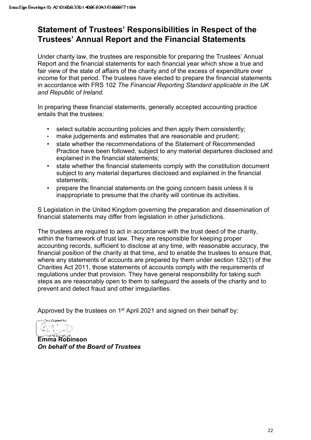### **Statement of Trustees' Responsibilities in Respect of the Trustees' Annual Report and the Financial Statements**

Under charity law, the trustees are responsible for preparing the Trustees' Annual Report and the financial statements for each financial year which show a true and fair view of the state of affairs of the charity and of the excess of expenditure over income for that period. The trustees have elected to prepare the financial statements in accordance with FRS 102 *The Financial Reporting Standard applicable in the UK and Republic of Ireland.* 

In preparing these financial statements, generally accepted accounting practice entails that the trustees:

- select suitable accounting policies and then apply them consistently;
- make judgements and estimates that are reasonable and prudent;
- state whether the recommendations of the Statement of Recommended Practice have been followed, subject to any material departures disclosed and explained in the financial statements;
- state whether the financial statements comply with the constitution document subject to any material departures disclosed and explained in the financial statements;
- prepare the financial statements on the going concern basis unless it is inappropriate to presume that the charity will continue its activities.

S Legislation in the United Kingdom governing the preparation and dissemination of financial statements may differ from legislation in other jurisdictions.

The trustees are required to act in accordance with the trust deed of the charity, within the framework of trust law. They are responsible for keeping proper accounting records, sufficient to disclose at any time, with reasonable accuracy, the financial position of the charity at that time, and to enable the trustees to ensure that, where any statements of accounts are prepared by them under section 132(1) of the Charities Act 2011, those statements of accounts comply with the requirements of regulations under that provision. They have general responsibility for taking such steps as are reasonably open to them to safeguard the assets of the charity and to prevent and detect fraud and other irregularities.

Approved by the trustees on 1<sup>st</sup> April 2021 and signed on their behalf by:

<mark>Grou Storred fro</mark>

**Emma Robinson**  *On behalf of the Board of Trustees*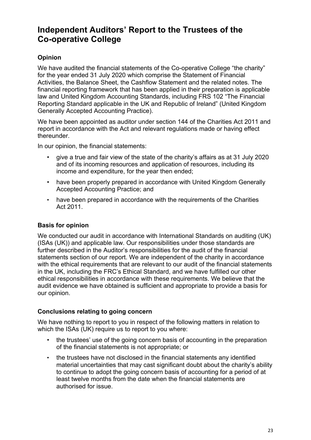## **Independent Auditors' Report to the Trustees of the Co-operative College**

### **Opinion**

We have audited the financial statements of the Co-operative College "the charity" for the year ended 31 July 2020 which comprise the Statement of Financial Activities, the Balance Sheet, the Cashflow Statement and the related notes. The financial reporting framework that has been applied in their preparation is applicable law and United Kingdom Accounting Standards, including FRS 102 "The Financial Reporting Standard applicable in the UK and Republic of Ireland" (United Kingdom Generally Accepted Accounting Practice).

We have been appointed as auditor under section 144 of the Charities Act 2011 and report in accordance with the Act and relevant regulations made or having effect thereunder.

In our opinion, the financial statements:

- give a true and fair view of the state of the charity's affairs as at 31 July 2020 and of its incoming resources and application of resources, including its income and expenditure, for the year then ended;
- have been properly prepared in accordance with United Kingdom Generally Accepted Accounting Practice; and
- have been prepared in accordance with the requirements of the Charities Act 2011.

### **Basis for opinion**

We conducted our audit in accordance with International Standards on auditing (UK) (ISAs (UK)) and applicable law. Our responsibilities under those standards are further described in the Auditor's responsibilities for the audit of the financial statements section of our report. We are independent of the charity in accordance with the ethical requirements that are relevant to our audit of the financial statements in the UK, including the FRC's Ethical Standard, and we have fulfilled our other ethical responsibilities in accordance with these requirements. We believe that the audit evidence we have obtained is sufficient and appropriate to provide a basis for our opinion.

### **Conclusions relating to going concern**

We have nothing to report to you in respect of the following matters in relation to which the ISAs (UK) require us to report to you where:

- the trustees' use of the going concern basis of accounting in the preparation of the financial statements is not appropriate; or
- the trustees have not disclosed in the financial statements any identified material uncertainties that may cast significant doubt about the charity's ability to continue to adopt the going concern basis of accounting for a period of at least twelve months from the date when the financial statements are authorised for issue.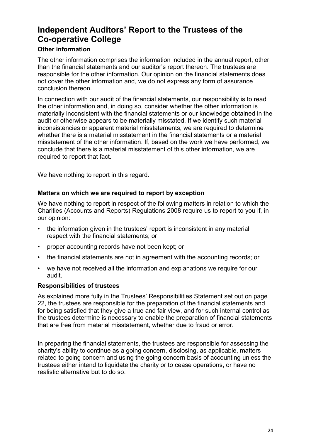# **Independent Auditors' Report to the Trustees of the Co-operative College**

### **Other information**

The other information comprises the information included in the annual report, other than the financial statements and our auditor's report thereon. The trustees are responsible for the other information. Our opinion on the financial statements does not cover the other information and, we do not express any form of assurance conclusion thereon.

In connection with our audit of the financial statements, our responsibility is to read the other information and, in doing so, consider whether the other information is materially inconsistent with the financial statements or our knowledge obtained in the audit or otherwise appears to be materially misstated. If we identify such material inconsistencies or apparent material misstatements, we are required to determine whether there is a material misstatement in the financial statements or a material misstatement of the other information. If, based on the work we have performed, we conclude that there is a material misstatement of this other information, we are required to report that fact.

We have nothing to report in this regard.

### **Matters on which we are required to report by exception**

We have nothing to report in respect of the following matters in relation to which the Charities (Accounts and Reports) Regulations 2008 require us to report to you if, in our opinion:

- the information given in the trustees' report is inconsistent in any material respect with the financial statements; or
- proper accounting records have not been kept; or
- the financial statements are not in agreement with the accounting records; or
- we have not received all the information and explanations we require for our audit.

### **Responsibilities of trustees**

As explained more fully in the Trustees' Responsibilities Statement set out on page 22, the trustees are responsible for the preparation of the financial statements and for being satisfied that they give a true and fair view, and for such internal control as the trustees determine is necessary to enable the preparation of financial statements that are free from material misstatement, whether due to fraud or error.

In preparing the financial statements, the trustees are responsible for assessing the charity's ability to continue as a going concern, disclosing, as applicable, matters related to going concern and using the going concern basis of accounting unless the trustees either intend to liquidate the charity or to cease operations, or have no realistic alternative but to do so.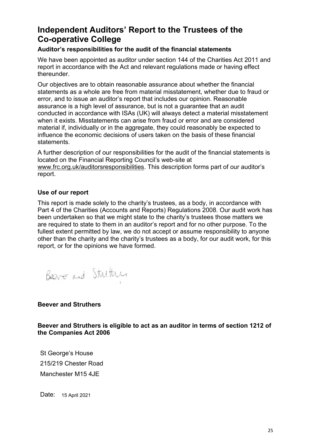## **Independent Auditors' Report to the Trustees of the Co-operative College**

### **Auditor's responsibilities for the audit of the financial statements**

We have been appointed as auditor under section 144 of the Charities Act 2011 and report in accordance with the Act and relevant regulations made or having effect thereunder.

Our objectives are to obtain reasonable assurance about whether the financial statements as a whole are free from material misstatement, whether due to fraud or error, and to issue an auditor's report that includes our opinion. Reasonable assurance is a high level of assurance, but is not a guarantee that an audit conducted in accordance with ISAs (UK) will always detect a material misstatement when it exists. Misstatements can arise from fraud or error and are considered material if, individually or in the aggregate, they could reasonably be expected to influence the economic decisions of users taken on the basis of these financial statements.

A further description of our responsibilities for the audit of the financial statements is located on the Financial Reporting Council's web-site at [www.frc.org.uk/auditorsresponsibilities. T](http://www.frc.org.uk/auditorsresponsibilities)his description forms part of our auditor's report.

#### **Use of our report**

This report is made solely to the charity's trustees, as a body, in accordance with Part 4 of the Charities (Accounts and Reports) Regulations 2008. Our audit work has been undertaken so that we might state to the charity's trustees those matters we are required to state to them in an auditor's report and for no other purpose. To the fullest extent permitted by law, we do not accept or assume responsibility to anyone other than the charity and the charity's trustees as a body, for our audit work, for this report, or for the opinions we have formed.

Beever and Strutting

### **Beever and Struthers**

**Beever and Struthers is eligible to act as an auditor in terms of section 1212 of the Companies Act 2006** 

St George's House 215/219 Chester Road Manchester M15 4JE

Date: 15 April 2021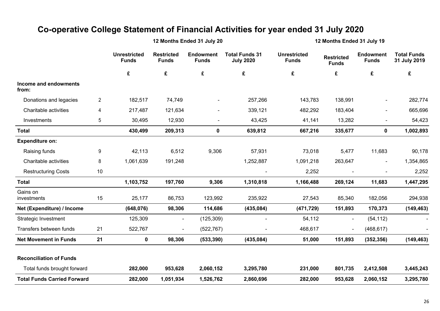# **Co-operative College Statement of Financial Activities for year ended 31 July 2020**

|                                    |                | 12 Months Ended 31 July 20          |                                   |                                  | 12 Months Ended 31 July 19                |                                     |                                   |                                  |                                    |
|------------------------------------|----------------|-------------------------------------|-----------------------------------|----------------------------------|-------------------------------------------|-------------------------------------|-----------------------------------|----------------------------------|------------------------------------|
|                                    |                | <b>Unrestricted</b><br><b>Funds</b> | <b>Restricted</b><br><b>Funds</b> | <b>Endowment</b><br><b>Funds</b> | <b>Total Funds 31</b><br><b>July 2020</b> | <b>Unrestricted</b><br><b>Funds</b> | <b>Restricted</b><br><b>Funds</b> | <b>Endowment</b><br><b>Funds</b> | <b>Total Funds</b><br>31 July 2019 |
|                                    |                | £                                   | £                                 | £                                | £                                         | £                                   | £                                 | £                                | £                                  |
| Income and endowments<br>from:     |                |                                     |                                   |                                  |                                           |                                     |                                   |                                  |                                    |
| Donations and legacies             | $\overline{2}$ | 182,517                             | 74,749                            | $\blacksquare$                   | 257,266                                   | 143,783                             | 138,991                           |                                  | 282,774                            |
| Charitable activities              | 4              | 217,487                             | 121,634                           |                                  | 339,121                                   | 482,292                             | 183,404                           |                                  | 665,696                            |
| Investments                        | 5              | 30,495                              | 12,930                            | $\blacksquare$                   | 43,425                                    | 41,141                              | 13,282                            | $\blacksquare$                   | 54,423                             |
| <b>Total</b>                       |                | 430,499                             | 209,313                           | 0                                | 639,812                                   | 667,216                             | 335,677                           | $\mathbf 0$                      | 1,002,893                          |
| <b>Expenditure on:</b>             |                |                                     |                                   |                                  |                                           |                                     |                                   |                                  |                                    |
| Raising funds                      | 9              | 42,113                              | 6,512                             | 9,306                            | 57,931                                    | 73,018                              | 5,477                             | 11,683                           | 90,178                             |
| Charitable activities              | 8              | 1,061,639                           | 191,248                           |                                  | 1,252,887                                 | 1,091,218                           | 263,647                           | $\blacksquare$                   | 1,354,865                          |
| <b>Restructuring Costs</b>         | 10             |                                     |                                   |                                  |                                           | 2,252                               |                                   |                                  | 2,252                              |
| <b>Total</b>                       |                | 1,103,752                           | 197,760                           | 9,306                            | 1,310,818                                 | 1,166,488                           | 269,124                           | 11,683                           | 1,447,295                          |
| Gains on<br>investments            | 15             | 25,177                              | 86,753                            | 123,992                          | 235,922                                   | 27,543                              | 85,340                            | 182,056                          | 294,938                            |
| Net (Expenditure) / Income         |                | (648, 076)                          | 98,306                            | 114,686                          | (435, 084)                                | (471, 729)                          | 151,893                           | 170,373                          | (149, 463)                         |
| Strategic Investment               |                | 125,309                             | $\blacksquare$                    | (125, 309)                       | $\blacksquare$                            | 54,112                              | $\blacksquare$                    | (54, 112)                        |                                    |
| Transfers between funds            | 21             | 522,767                             | $\blacksquare$                    | (522, 767)                       |                                           | 468,617                             | $\blacksquare$                    | (468, 617)                       |                                    |
| <b>Net Movement in Funds</b>       | 21             | $\pmb{0}$                           | 98,306                            | (533, 390)                       | (435, 084)                                | 51,000                              | 151,893                           | (352, 356)                       | (149, 463)                         |
| <b>Reconciliation of Funds</b>     |                |                                     |                                   |                                  |                                           |                                     |                                   |                                  |                                    |
| Total funds brought forward        |                | 282,000                             | 953,628                           | 2,060,152                        | 3,295,780                                 | 231,000                             | 801,735                           | 2,412,508                        | 3,445,243                          |
| <b>Total Funds Carried Forward</b> |                | 282,000                             | 1,051,934                         | 1,526,762                        | 2,860,696                                 | 282,000                             | 953,628                           | 2,060,152                        | 3,295,780                          |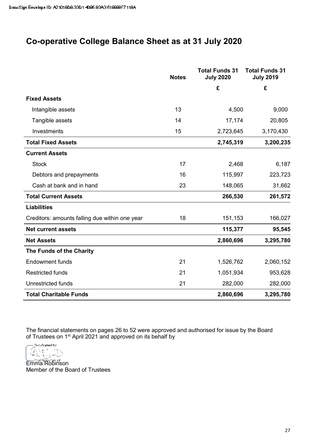# **Co-operative College Balance Sheet as at 31 July 2020**

|                                                | <b>Notes</b> | <b>Total Funds 31</b><br><b>July 2020</b> | <b>Total Funds 31</b><br><b>July 2019</b> |
|------------------------------------------------|--------------|-------------------------------------------|-------------------------------------------|
|                                                |              | £                                         | £                                         |
| <b>Fixed Assets</b>                            |              |                                           |                                           |
| Intangible assets                              | 13           | 4,500                                     | 9,000                                     |
| Tangible assets                                | 14           | 17,174                                    | 20,805                                    |
| Investments                                    | 15           | 2,723,645                                 | 3,170,430                                 |
| <b>Total Fixed Assets</b>                      |              | 2,745,319                                 | 3,200,235                                 |
| <b>Current Assets</b>                          |              |                                           |                                           |
| <b>Stock</b>                                   | 17           | 2,468                                     | 6,187                                     |
| Debtors and prepayments                        | 16           | 115,997                                   | 223,723                                   |
| Cash at bank and in hand                       | 23           | 148,065                                   | 31,662                                    |
| <b>Total Current Assets</b>                    |              | 266,530                                   | 261,572                                   |
| <b>Liabilities</b>                             |              |                                           |                                           |
| Creditors: amounts falling due within one year | 18           | 151,153                                   | 166,027                                   |
| <b>Net current assets</b>                      |              | 115,377                                   | 95,545                                    |
| <b>Net Assets</b>                              |              | 2,860,696                                 | 3,295,780                                 |
| The Funds of the Charity                       |              |                                           |                                           |
| <b>Endowment funds</b>                         | 21           | 1,526,762                                 | 2,060,152                                 |
| <b>Restricted funds</b>                        | 21           | 1,051,934                                 | 953,628                                   |
| <b>Unrestricted funds</b>                      | 21           | 282,000                                   | 282,000                                   |
| <b>Total Charitable Funds</b>                  |              | 2,860,696                                 | 3,295,780                                 |

The financial statements on pages 26 to 52 were approved and authorised for issue by the Board of Trustees on 1<sup>st</sup> April 2021 and approved on its behalf by

**Decusioned** his  $\mathcal{M}^{\rm{max}}$ 

Emma Robinson Member of the Board of Trustees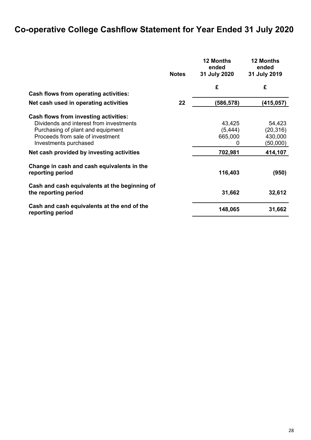# **Co-operative College Cashflow Statement for Year Ended 31 July 2020**

|                                                                                                                                                                                           | <b>Notes</b> | <b>12 Months</b><br>ended<br>31 July 2020 | 12 Months<br>ended<br>31 July 2019         |
|-------------------------------------------------------------------------------------------------------------------------------------------------------------------------------------------|--------------|-------------------------------------------|--------------------------------------------|
| <b>Cash flows from operating activities:</b>                                                                                                                                              |              | £                                         | £                                          |
| Net cash used in operating activities                                                                                                                                                     | 22           | (586, 578)                                | (415,057)                                  |
| <b>Cash flows from investing activities:</b><br>Dividends and interest from investments<br>Purchasing of plant and equipment<br>Proceeds from sale of investment<br>Investments purchased |              | 43,425<br>(5, 444)<br>665,000<br>0        | 54,423<br>(20, 316)<br>430,000<br>(50,000) |
| Net cash provided by investing activities                                                                                                                                                 |              | 702,981                                   | 414,107                                    |
| Change in cash and cash equivalents in the<br>reporting period                                                                                                                            |              | 116,403                                   | (950)                                      |
| Cash and cash equivalents at the beginning of<br>the reporting period                                                                                                                     |              | 31,662                                    | 32,612                                     |
| Cash and cash equivalents at the end of the<br>reporting period                                                                                                                           |              | 148,065                                   | 31,662                                     |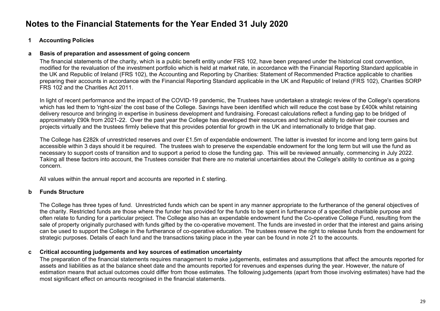**1 Accounting Policies** 

#### **a Basis of preparation and assessment of going concern**

The financial statements of the charity, which is a public benefit entity under FRS 102, have been prepared under the historical cost convention, modified for the revaluation of the investment portfolio which is held at market rate, in accordance with the Financial Reporting Standard applicable in the UK and Republic of Ireland (FRS 102), the Accounting and Reporting by Charities: Statement of Recommended Practice applicable to charities preparing their accounts in accordance with the Financial Reporting Standard applicable in the UK and Republic of Ireland (FRS 102), Charities SORP FRS 102 and the Charities Act 2011.

In light of recent performance and the impact of the COVID-19 pandemic, the Trustees have undertaken a strategic review of the College's operations which has led them to 'right-size' the cost base of the College. Savings have been identified which will reduce the cost base by £400k whilst retaining delivery resource and bringing in expertise in business development and fundraising. Forecast calculations reflect a funding gap to be bridged of approximately £90k from 2021-22. Over the past year the College has developed their resources and technical ability to deliver their courses and projects virtually and the trustees firmly believe that this provides potential for growth in the UK and internationally to bridge that gap.

The College has £282k of unrestricted reserves and over £1.5m of expendable endowment. The latter is invested for income and long term gains but accessible within 3 days should it be required. The trustees wish to preserve the expendable endowment for the long term but will use the fund as necessary to support costs of transition and to support a period to close the funding gap. This will be reviewed annually, commencing in July 2022. Taking all these factors into account, the Trustees consider that there are no material uncertainties about the College's ability to continue as a going concern.

All values within the annual report and accounts are reported in £ sterling.

#### **b Funds Structure**

The College has three types of fund. Unrestricted funds which can be spent in any manner appropriate to the furtherance of the general objectives of the charity. Restricted funds are those where the funder has provided for the funds to be spent in furtherance of a specified charitable purpose and often relate to funding for a particular project. The College also has an expendable endowment fund the Co-operative College Fund, resulting from the sale of property originally purchased with funds gifted by the co-operative movement. The funds are invested in order that the interest and gains arising can be used to support the College in the furtherance of co-operative education. The trustees reserve the right to release funds from the endowment for strategic purposes. Details of each fund and the transactions taking place in the year can be found in note 21 to the accounts.

#### **c Critical accounting judgements and key sources of estimation uncertainty**

The preparation of the financial statements requires management to make judgements, estimates and assumptions that affect the amounts reported for assets and liabilities as at the balance sheet date and the amounts reported for revenues and expenses during the year. However, the nature of estimation means that actual outcomes could differ from those estimates. The following judgements (apart from those involving estimates) have had the most significant effect on amounts recognised in the financial statements.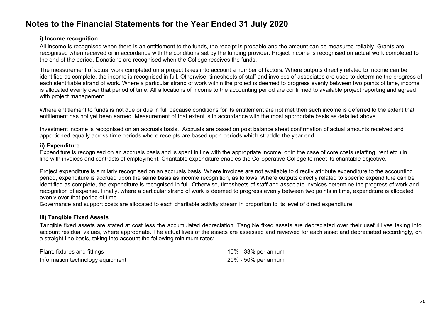#### **i) Income recognition**

All income is recognised when there is an entitlement to the funds, the receipt is probable and the amount can be measured reliably. Grants are recognised when received or in accordance with the conditions set by the funding provider. Project income is recognised on actual work completed to the end of the period. Donations are recognised when the College receives the funds.

The measurement of actual work completed on a project takes into account a number of factors. Where outputs directly related to income can be identified as complete, the income is recognised in full. Otherwise, timesheets of staff and invoices of associates are used to determine the progress of each identifiable strand of work. Where a particular strand of work within the project is deemed to progress evenly between two points of time, income is allocated evenly over that period of time. All allocations of income to the accounting period are confirmed to available project reporting and agreed with project management.

Where entitlement to funds is not due or due in full because conditions for its entitlement are not met then such income is deferred to the extent that entitlement has not yet been earned. Measurement of that extent is in accordance with the most appropriate basis as detailed above.

Investment income is recognised on an accruals basis. Accruals are based on post balance sheet confirmation of actual amounts received and apportioned equally across time periods where receipts are based upon periods which straddle the year end.

#### **ii) Expenditure**

Expenditure is recognised on an accruals basis and is spent in line with the appropriate income, or in the case of core costs (staffing, rent etc.) in line with invoices and contracts of employment. Charitable expenditure enables the Co-operative College to meet its charitable objective.

Project expenditure is similarly recognised on an accruals basis. Where invoices are not available to directly attribute expenditure to the accounting period, expenditure is accrued upon the same basis as income recognition, as follows: Where outputs directly related to specific expenditure can be identified as complete, the expenditure is recognised in full. Otherwise, timesheets of staff and associate invoices determine the progress of work and recognition of expense. Finally, where a particular strand of work is deemed to progress evenly between two points in time, expenditure is allocated evenly over that period of time.

Governance and support costs are allocated to each charitable activity stream in proportion to its level of direct expenditure.

#### **iii) Tangible Fixed Assets**

Tangible fixed assets are stated at cost less the accumulated depreciation. Tangible fixed assets are depreciated over their useful lives taking into account residual values, where appropriate. The actual lives of the assets are assessed and reviewed for each asset and depreciated accordingly, on a straight line basis, taking into account the following minimum rates:

| Plant, fixtures and fittings     | 10% - 33% per annum |
|----------------------------------|---------------------|
| Information technology equipment | 20% - 50% per annum |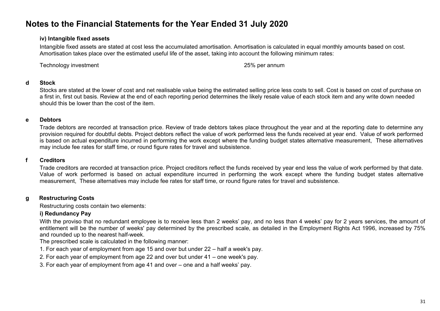#### **iv) Intangible fixed assets**

Intangible fixed assets are stated at cost less the accumulated amortisation. Amortisation is calculated in equal monthly amounts based on cost. Amortisation takes place over the estimated useful life of the asset, taking into account the following minimum rates:

Technology investment 25% per annum

#### **d Stock**

Stocks are stated at the lower of cost and net realisable value being the estimated selling price less costs to sell. Cost is based on cost of purchase on a first in, first out basis. Review at the end of each reporting period determines the likely resale value of each stock item and any write down needed should this be lower than the cost of the item.

#### **e Debtors**

Trade debtors are recorded at transaction price. Review of trade debtors takes place throughout the year and at the reporting date to determine any provision required for doubtful debts. Project debtors reflect the value of work performed less the funds received at year end. Value of work performed is based on actual expenditure incurred in performing the work except where the funding budget states alternative measurement, These alternatives may include fee rates for staff time, or round figure rates for travel and subsistence.

#### **f Creditors**

Trade creditors are recorded at transaction price. Project creditors reflect the funds received by year end less the value of work performed by that date. Value of work performed is based on actual expenditure incurred in performing the work except where the funding budget states alternative measurement, These alternatives may include fee rates for staff time, or round figure rates for travel and subsistence.

#### **g Restructuring Costs**

Restructuring costs contain two elements:

#### **i) Redundancy Pay**

With the proviso that no redundant employee is to receive less than 2 weeks' pay, and no less than 4 weeks' pay for 2 years services, the amount of entitlement will be the number of weeks' pay determined by the prescribed scale, as detailed in the Employment Rights Act 1996, increased by 75% and rounded up to the nearest half-week.

The prescribed scale is calculated in the following manner:

1. For each year of employment from age 15 and over but under 22 – half a week's pay.

2. For each year of employment from age 22 and over but under 41 – one week's pay.

3. For each year of employment from age 41 and over – one and a half weeks' pay.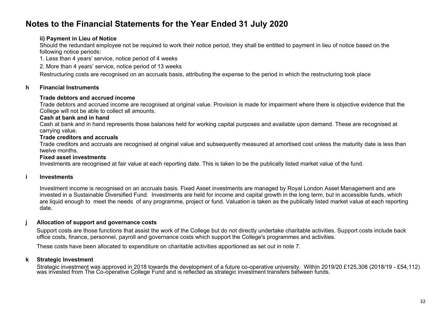#### **ii) Payment in Lieu of Notice**

Should the redundant employee not be required to work their notice period, they shall be entitled to payment in lieu of notice based on the following notice periods:

1. Less than 4 years' service, notice period of 4 weeks

2. More than 4 years' service, notice period of 13 weeks

Restructuring costs are recognised on an accruals basis, attributing the expense to the period in which the restructuring took place

#### **h Financial Instruments**

#### **Trade debtors and accrued income**

Trade debtors and accrued income are recognised at original value. Provision is made for impairment where there is objective evidence that the College will not be able to collect all amounts.

#### **Cash at bank and in hand**

Cash at bank and in hand represents those balances held for working capital purposes and available upon demand. These are recognised at carrying value.

#### **Trade creditors and accruals**

Trade creditors and accruals are recognised at original value and subsequently measured at amortised cost unless the maturity date is less than twelve months.

#### **Fixed asset investments**

Investments are recognised at fair value at each reporting date. This is taken to be the publically listed market value of the fund.

#### **i Investments**

Investment income is recognised on an accruals basis. Fixed Asset investments are managed by Royal London Asset Management and are invested in a Sustainable Diversified Fund. Investments are held for income and capital growth in the long term, but in accessible funds, which are liquid enough to meet the needs of any programme, project or fund. Valuation is taken as the publically listed market value at each reporting date.

#### **j Allocation of support and governance costs**

Support costs are those functions that assist the work of the College but do not directly undertake charitable activities. Support costs include back office costs, finance, personnel, payroll and governance costs which support the College's programmes and activities.

These costs have been allocated to expenditure on charitable activities apportioned as set out in note 7.

#### **k Strategic Investment**

Strategic investment was approved in 2018 towards the development of a future co-operative university. Within 2019/20 £125,308 (2018/19 - £54,112) was invested from The Co-operative College Fund and is reflected as strategic investment transfers between funds.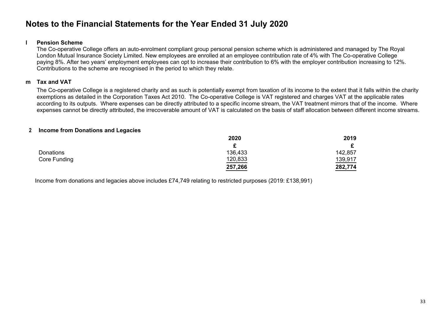#### **l Pension Scheme**

The Co-operative College offers an auto-enrolment compliant group personal pension scheme which is administered and managed by The Royal London Mutual Insurance Society Limited. New employees are enrolled at an employee contribution rate of 4% with The Co-operative College paying 8%. After two years' employment employees can opt to increase their contribution to 6% with the employer contribution increasing to 12%. Contributions to the scheme are recognised in the period to which they relate.

#### **m Tax and VAT**

The Co-operative College is a registered charity and as such is potentially exempt from taxation of its income to the extent that it falls within the charity exemptions as detailed in the Corporation Taxes Act 2010. The Co-operative College is VAT registered and charges VAT at the applicable rates according to its outputs. Where expenses can be directly attributed to a specific income stream, the VAT treatment mirrors that of the income. Where expenses cannot be directly attributed, the irrecoverable amount of VAT is calculated on the basis of staff allocation between different income streams.

#### **2 Income from Donations and Legacies**

|              | 2020    | 2019    |
|--------------|---------|---------|
|              |         |         |
| Donations    | 136,433 | 142,857 |
| Core Funding | 120,833 | 139,917 |
|              | 257,266 | 282,774 |

Income from donations and legacies above includes £74,749 relating to restricted purposes (2019: £138,991)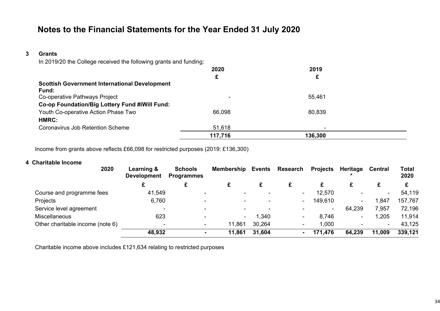#### **3 Grants**

In 2019/20 the College received the following grants and funding:

|                                                      | 2020    | 2019    |  |
|------------------------------------------------------|---------|---------|--|
|                                                      | £       | £       |  |
| <b>Scottish Government International Development</b> |         |         |  |
| Fund:                                                |         |         |  |
| Co-operative Pathways Project                        | -       | 55,461  |  |
| Co-op Foundation/Big Lottery Fund #iWill Fund:       |         |         |  |
| Youth Co-operative Action Phase Two                  | 66,098  | 80,839  |  |
| HMRC:                                                |         |         |  |
| <b>Coronavirus Job Retention Scheme</b>              | 51,618  |         |  |
|                                                      | 117,716 | 136,300 |  |

Income from grants above reflects £66,098 for restricted purposes (2019: £136,300)

#### **4 Charitable Income**

| 2020                             | Learning &<br><b>Development</b> | <b>Schools</b><br><b>Programmes</b> | Membership               | <b>Events</b> | <b>Research</b>          | <b>Projects</b> | Heritage<br>$\pmb{\times}$ | Central                  | <b>Total</b><br>2020 |
|----------------------------------|----------------------------------|-------------------------------------|--------------------------|---------------|--------------------------|-----------------|----------------------------|--------------------------|----------------------|
|                                  |                                  |                                     | £                        |               | £                        |                 |                            |                          | £                    |
| Course and programme fees        | 41,549                           | $\overline{\phantom{0}}$            |                          |               | $\overline{\phantom{a}}$ | 12,570          | $\overline{\phantom{0}}$   | $\sim$                   | 54,119               |
| Projects                         | 6,760                            | $\overline{\phantom{0}}$            | -                        |               | $\sim$                   | 149,610         | $\overline{\phantom{0}}$   | ,847                     | 157,767              |
| Service level agreement          | $\overline{\phantom{0}}$         |                                     |                          |               | $\overline{\phantom{0}}$ | ۰.              | 64,239                     | 7,957                    | 72,196               |
| <b>Miscellaneous</b>             | 623                              |                                     | $\overline{\phantom{0}}$ | .340          | $\overline{\phantom{a}}$ | 8,746           | $\overline{\phantom{a}}$   | ,205                     | 11,914               |
| Other charitable income (note 6) | $\overline{\phantom{0}}$         |                                     | 11,861                   | 30,264        | -                        | 1,000           | -                          | $\overline{\phantom{0}}$ | 43,125               |
|                                  | 48,932                           |                                     | 11,861                   | 31,604        | $\sim$                   | 171,476         | 64,239                     | 11,009                   | 339,121              |

Charitable income above includes £121,634 relating to restricted purposes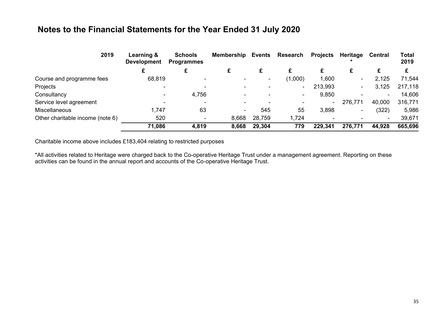| 2019                             | Learning &<br><b>Development</b> | <b>Schools</b><br><b>Programmes</b> | Membership | <b>Events</b>            | <b>Research</b> | <b>Projects</b>          | Heritage                 | Central                  | <b>Total</b><br>2019 |
|----------------------------------|----------------------------------|-------------------------------------|------------|--------------------------|-----------------|--------------------------|--------------------------|--------------------------|----------------------|
|                                  |                                  |                                     |            | £                        |                 | £                        | £                        |                          | £                    |
| Course and programme fees        | 68,819                           |                                     |            | $\overline{\phantom{0}}$ | (1,000)         | 1,600                    | $\sim$                   | 2,125                    | 71,544               |
| Projects                         |                                  |                                     |            |                          | -               | 213,993                  | $\overline{\phantom{a}}$ | 3,125                    | 217,118              |
| Consultancy                      | $\overline{\phantom{0}}$         | 4,756                               |            |                          | -               | 9,850                    |                          | $\overline{\phantom{a}}$ | 14,606               |
| Service level agreement          |                                  | $\overline{\phantom{0}}$            |            |                          |                 | $\overline{\phantom{a}}$ | 276,771                  | 40,000                   | 316,771              |
| <b>Miscellaneous</b>             | 1,747                            | 63                                  |            | 545                      | 55              | 3,898                    | $\overline{\phantom{0}}$ | (322)                    | 5,986                |
| Other charitable income (note 6) | 520                              | $\overline{\phantom{a}}$            | 8,668      | 28,759                   | 1,724           |                          |                          | $\overline{\phantom{a}}$ | 39,671               |
|                                  | 71,086                           | 4,819                               | 8,668      | 29,304                   | 779             | 229,341                  | 276,771                  | 44,928                   | 665,696              |

Charitable income above includes £183,404 relating to restricted purposes

\*All activities related to Heritage were charged back to the Co-operative Heritage Trust under a management agreement. Reporting on these activities can be found in the annual report and accounts of the Co-operative Heritage Trust.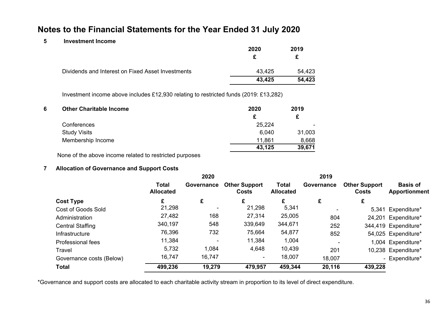### **5 Investment Income**

|                                                   | 2020   | 2019   |
|---------------------------------------------------|--------|--------|
|                                                   | £      | £      |
| Dividends and Interest on Fixed Asset Investments | 43,425 | 54,423 |
|                                                   | 43,425 | 54,423 |

Investment income above includes £12,930 relating to restricted funds (2019: £13,282)

| 6 | <b>Other Charitable Income</b> | 2020   | 2019   |
|---|--------------------------------|--------|--------|
|   |                                | £      | £      |
|   | Conferences                    | 25,224 |        |
|   | <b>Study Visits</b>            | 6,040  | 31,003 |
|   | Membership Income              | 11,861 | 8,668  |
|   |                                | 43,125 | 39,671 |

None of the above income related to restricted purposes

### **7 Allocation of Governance and Support Costs**

|                          |                                  | 2020                     |                               |                           | 2019                     |                                      |                                         |
|--------------------------|----------------------------------|--------------------------|-------------------------------|---------------------------|--------------------------|--------------------------------------|-----------------------------------------|
|                          | <b>Total</b><br><b>Allocated</b> | Governance               | <b>Other Support</b><br>Costs | Total<br><b>Allocated</b> | Governance               | <b>Other Support</b><br><b>Costs</b> | <b>Basis of</b><br><b>Apportionment</b> |
| <b>Cost Type</b>         | £                                | £                        | £                             | £                         | £                        | £                                    |                                         |
| Cost of Goods Sold       | 21,298                           | $\overline{\phantom{0}}$ | 21,298                        | 5,341                     | $\overline{\phantom{0}}$ | 5,341                                | Expenditure*                            |
| Administration           | 27,482                           | 168                      | 27,314                        | 25,005                    | 804                      | 24,201                               | Expenditure*                            |
| Central Staffing         | 340,197                          | 548                      | 339,649                       | 344,671                   | 252                      |                                      | 344,419 Expenditure*                    |
| Infrastructure           | 76,396                           | 732                      | 75,664                        | 54,877                    | 852                      |                                      | 54,025 Expenditure*                     |
| <b>Professional fees</b> | 11,384                           | $\overline{\phantom{0}}$ | 11,384                        | 1,004                     |                          |                                      | 1,004 Expenditure*                      |
| Travel                   | 5,732                            | 1,084                    | 4,648                         | 10,439                    | 201                      |                                      | 10,238 Expenditure*                     |
| Governance costs (Below) | 16,747                           | 16,747                   | ۰                             | 18,007                    | 18,007                   |                                      | - Expenditure*                          |
| <b>Total</b>             | 499,236                          | 19,279                   | 479,957                       | 459,344                   | 20,116                   | 439,228                              |                                         |

\*Governance and support costs are allocated to each charitable activity stream in proportion to its level of direct expenditure.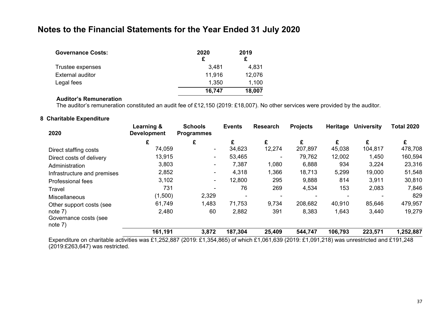| <b>Governance Costs:</b> | 2020   | 2019   |
|--------------------------|--------|--------|
| Trustee expenses         | 3,481  | 4,831  |
| <b>External auditor</b>  | 11,916 | 12,076 |
| Legal fees               | 1,350  | 1,100  |
|                          | 16,747 | 18,007 |

#### **Auditor's Remuneration**

The auditor's remuneration constituted an audit fee of £12,150 (2019: £18,007). No other services were provided by the auditor.

#### **8 Charitable Expenditure**

| 2020                               | Learning &<br><b>Development</b> | <b>Schools</b><br><b>Programmes</b> | <b>Events</b>            | <b>Research</b>          | <b>Projects</b> | Heritage | <b>University</b> | <b>Total 2020</b> |
|------------------------------------|----------------------------------|-------------------------------------|--------------------------|--------------------------|-----------------|----------|-------------------|-------------------|
|                                    | £                                | £                                   | £                        | £                        | £               | £        | £                 | £                 |
| Direct staffing costs              | 74,059                           | $\overline{\phantom{a}}$            | 34,623                   | 12,274                   | 207,897         | 45,038   | 104,817           | 478,708           |
| Direct costs of delivery           | 13,915                           | $\sim$                              | 53,465                   | $\overline{\phantom{a}}$ | 79,762          | 12,002   | 1,450             | 160,594           |
| Administration                     | 3,803                            | $\sim$                              | 7,387                    | 1,080                    | 6,888           | 934      | 3,224             | 23,316            |
| Infrastructure and premises        | 2,852                            | $\sim$                              | 4,318                    | 1,366                    | 18,713          | 5,299    | 19,000            | 51,548            |
| <b>Professional fees</b>           | 3,102                            | $\sim$                              | 12,800                   | 295                      | 9,888           | 814      | 3,911             | 30,810            |
| Travel                             | 731                              | $\overline{\phantom{0}}$            | 76                       | 269                      | 4,534           | 153      | 2,083             | 7,846             |
| <b>Miscellaneous</b>               | (1,500)                          | 2,329                               | $\overline{\phantom{a}}$ |                          | ٠               |          |                   | 829               |
| Other support costs (see           | 61,749                           | 1,483                               | 71,753                   | 9,734                    | 208,682         | 40,910   | 85,646            | 479,957           |
| note 7)                            | 2,480                            | 60                                  | 2,882                    | 391                      | 8,383           | 1,643    | 3,440             | 19,279            |
| Governance costs (see<br>note $7)$ |                                  |                                     |                          |                          |                 |          |                   |                   |
|                                    | 161,191                          | 3,872                               | 187,304                  | 25,409                   | 544,747         | 106,793  | 223,571           | 1,252,887         |

Expenditure on charitable activities was £1,252,887 (2019: £1,354,865) of which £1,061,639 (2019: £1,091,218) was unrestricted and £191,248 (2019:£263,647) was restricted.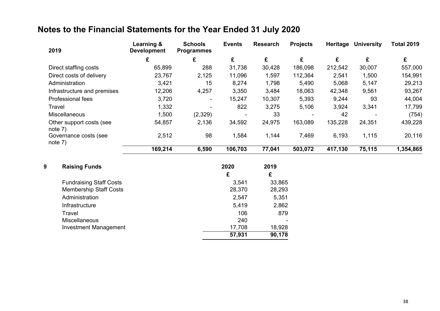| 2019                                | Learning &<br><b>Development</b> | <b>Schools</b><br><b>Programmes</b> | <b>Events</b> | <b>Research</b> | <b>Projects</b> | Heritage | <b>University</b> | <b>Total 2019</b> |
|-------------------------------------|----------------------------------|-------------------------------------|---------------|-----------------|-----------------|----------|-------------------|-------------------|
|                                     | £                                | £                                   | £             | £               | £               | £        | £                 | £                 |
| Direct staffing costs               | 65,899                           | 288                                 | 31,738        | 30,428          | 186,098         | 212,542  | 30,007            | 557,000           |
| Direct costs of delivery            | 23,767                           | 2,125                               | 11,096        | 1,597           | 112,364         | 2,541    | 1,500             | 154,991           |
| Administration                      | 3,421                            | 15                                  | 8,274         | 1,798           | 5,490           | 5,068    | 5,147             | 29,213            |
| Infrastructure and premises         | 12,206                           | 4,257                               | 3,350         | 3,484           | 18,063          | 42,348   | 9,561             | 93,267            |
| Professional fees                   | 3,720                            | ۰.                                  | 15,247        | 10,307          | 5,393           | 9,244    | 93                | 44,004            |
| Travel                              | 1,332                            |                                     | 822           | 3,275           | 5,106           | 3,924    | 3,341             | 17,799            |
| Miscellaneous                       | 1,500                            | (2,329)                             |               | 33              |                 | 42       |                   | (754)             |
| Other support costs (see<br>note 7) | 54,857                           | 2,136                               | 34,592        | 24,975          | 163,089         | 135,228  | 24,351            | 439,228           |
| Governance costs (see<br>note 7)    | 2,512                            | 98                                  | 1,584         | 1,144           | 7,469           | 6,193    | 1,115             | 20,116            |
|                                     | 169,214                          | 6,590                               | 106,703       | 77,041          | 503,072         | 417,130  | 75,115            | 1,354,865         |

| 9 | <b>Raising Funds</b>           | 2020   | 2019   |
|---|--------------------------------|--------|--------|
|   |                                | £      | £      |
|   | <b>Fundraising Staff Costs</b> | 3,541  | 33,865 |
|   | <b>Membership Staff Costs</b>  | 28,370 | 28,293 |
|   | Administration                 | 2,547  | 5,351  |
|   | Infrastructure                 | 5,419  | 2,862  |
|   | Travel                         | 106    | 879    |
|   | <b>Miscellaneous</b>           | 240    |        |
|   | <b>Investment Management</b>   | 17,708 | 18,928 |
|   |                                | 57,931 | 90,178 |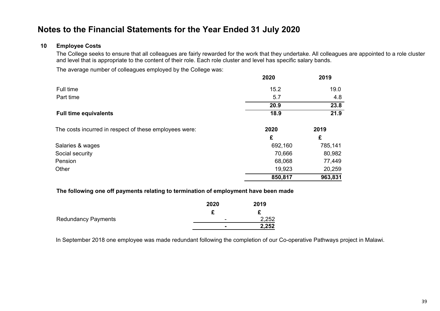#### **10 Employee Costs**

The College seeks to ensure that all colleagues are fairly rewarded for the work that they undertake. All colleagues are appointed to a role cluster and level that is appropriate to the content of their role. Each role cluster and level has specific salary bands.

The average number of colleagues employed by the College was:

|                                                        | 2020    | 2019    |
|--------------------------------------------------------|---------|---------|
| Full time                                              | 15.2    | 19.0    |
| Part time                                              | 5.7     | 4.8     |
|                                                        | 20.9    | 23.8    |
| <b>Full time equivalents</b>                           | 18.9    | 21.9    |
| The costs incurred in respect of these employees were: | 2020    | 2019    |
|                                                        | £       | £       |
| Salaries & wages                                       | 692,160 | 785,141 |
| Social security                                        | 70,666  | 80,982  |
| Pension                                                | 68,068  | 77,449  |
| Other                                                  | 19,923  | 20,259  |
|                                                        | 850,817 | 963,831 |

**The following one off payments relating to termination of employment have been made**

|                            | 2020                     | 2019  |
|----------------------------|--------------------------|-------|
|                            |                          |       |
| <b>Redundancy Payments</b> | $\overline{\phantom{0}}$ | 2,252 |
|                            | $\blacksquare$           | 2,252 |

In September 2018 one employee was made redundant following the completion of our Co-operative Pathways project in Malawi.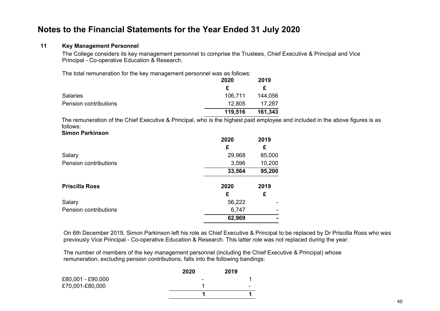#### **11 Key Management Personnel**

The College considers its key management personnel to comprise the Trustees, Chief Executive & Principal and Vice Principal - Co-operative Education & Research.

The total remuneration for the key management personnel was as follows:

|                       | 2020    | 2019    |
|-----------------------|---------|---------|
|                       |         |         |
| <b>Salaries</b>       | 106,711 | 144,056 |
| Pension contributions | 12,805  | 17,287  |
|                       | 119,516 | 161,343 |

The remuneration of the Chief Executive & Principal, who is the highest paid employee and included in the above figures is as follows:

#### **Simon Parkinson**

|                       | 2020   | 2019   |
|-----------------------|--------|--------|
|                       | £      | £      |
| Salary                | 29,968 | 85,000 |
| Pension contributions | 3,596  | 10,200 |
|                       | 33,564 | 95,200 |
| <b>Priscilla Ross</b> | 2020   | 2019   |
|                       | £      | £      |
| Salary                | 56,222 |        |
| Pension contributions | 6,747  |        |
|                       | 62,969 |        |

On 6th December 2019, Simon Parkinson left his role as Chief Executive & Principal to be replaced by Dr Priscilla Ross who was previously Vice Principal - Co-operative Education & Research. This latter role was not replaced during the year.

The number of members of the key management personnel (including the Chief Executive & Principal) whose remuneration, excluding pension contributions, falls into the following bandings:

|                   | 2020 | 2019 |
|-------------------|------|------|
| £80,001 - £90,000 | -    |      |
| £70,001-£80,000   |      | -    |
|                   |      |      |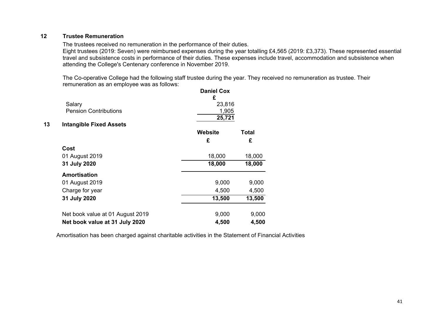#### **12 Trustee Remuneration**

The trustees received no remuneration in the performance of their duties.

Eight trustees (2019: Seven) were reimbursed expenses during the year totalling £4,565 (2019: £3,373). These represented essential travel and subsistence costs in performance of their duties. These expenses include travel, accommodation and subsistence when attending the College's Centenary conference in November 2019.

The Co-operative College had the following staff trustee during the year. They received no remuneration as trustee. Their remuneration as an employee was as follows:

|    |                                  | <b>Daniel Cox</b><br>£ |              |
|----|----------------------------------|------------------------|--------------|
|    | Salary                           | 23,816                 |              |
|    | <b>Pension Contributions</b>     | 1,905                  |              |
|    |                                  | 25,721                 |              |
| 13 | <b>Intangible Fixed Assets</b>   |                        |              |
|    |                                  | Website                | <b>Total</b> |
|    |                                  | £                      | £            |
|    | Cost                             |                        |              |
|    | 01 August 2019                   | 18,000                 | 18,000       |
|    | 31 July 2020                     | 18,000                 | 18,000       |
|    | <b>Amortisation</b>              |                        |              |
|    | 01 August 2019                   | 9,000                  | 9,000        |
|    | Charge for year                  | 4,500                  | 4,500        |
|    | 31 July 2020                     | 13,500                 | 13,500       |
|    | Net book value at 01 August 2019 | 9,000                  | 9,000        |
|    | Net book value at 31 July 2020   | 4,500                  | 4,500        |
|    |                                  |                        |              |

Amortisation has been charged against charitable activities in the Statement of Financial Activities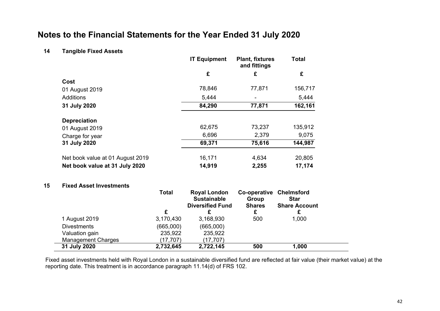#### **14 Tangible Fixed Assets**

|    |                                  |              | <b>IT Equipment</b>                       | <b>Plant, fixtures</b><br>and fittings | Total                            |
|----|----------------------------------|--------------|-------------------------------------------|----------------------------------------|----------------------------------|
|    |                                  |              | £                                         | £                                      | £                                |
|    | Cost                             |              |                                           |                                        |                                  |
|    | 01 August 2019                   |              | 78,846                                    | 77,871                                 | 156,717                          |
|    | <b>Additions</b>                 |              | 5,444                                     |                                        | 5,444                            |
|    | 31 July 2020                     |              | 84,290                                    | 77,871                                 | 162,161                          |
|    | <b>Depreciation</b>              |              |                                           |                                        |                                  |
|    | 01 August 2019                   |              | 62,675                                    | 73,237                                 | 135,912                          |
|    | Charge for year                  |              | 6,696                                     | 2,379                                  | 9,075                            |
|    | 31 July 2020                     |              | 69,371                                    | 75,616                                 | 144,987                          |
|    | Net book value at 01 August 2019 |              | 16,171                                    | 4,634                                  | 20,805                           |
|    | Net book value at 31 July 2020   |              | 14,919                                    | 2,255                                  | 17,174                           |
| 15 | <b>Fixed Asset Investments</b>   |              |                                           |                                        |                                  |
|    |                                  | <b>Total</b> | <b>Royal London</b><br><b>Sustainable</b> | Co-operative<br>Group                  | <b>Chelmsford</b><br><b>Star</b> |
|    |                                  |              | <b>Diversified Fund</b>                   | <b>Shares</b>                          | <b>Share Account</b>             |
|    |                                  | £            | £                                         | £                                      | £                                |
|    | 1 August 2019                    | 3,170,430    | 3,168,930                                 | 500                                    | 1,000                            |
|    | <b>Divestments</b>               | (665,000)    | (665,000)                                 |                                        |                                  |
|    | Valuation gain                   | 235,922      | 235,922                                   |                                        |                                  |
|    | <b>Management Charges</b>        | (17, 707)    | (17, 707)                                 |                                        |                                  |
|    | 31 July 2020                     | 2,732,645    | 2,722,145                                 | 500                                    | 1,000                            |

Fixed asset investments held with Royal London in a sustainable diversified fund are reflected at fair value (their market value) at the reporting date. This treatment is in accordance paragraph 11.14(d) of FRS 102.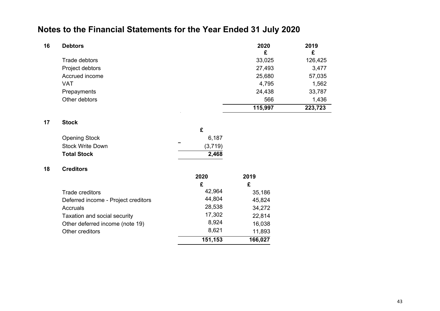| 16 | <b>Debtors</b>                      |         | 2020<br>£ | 2019<br>£ |
|----|-------------------------------------|---------|-----------|-----------|
|    | Trade debtors                       |         | 33,025    | 126,425   |
|    | Project debtors                     |         | 27,493    | 3,477     |
|    | Accrued income                      |         | 25,680    | 57,035    |
|    | <b>VAT</b>                          |         | 4,795     | 1,562     |
|    | Prepayments                         |         | 24,438    | 33,787    |
|    | Other debtors                       |         | 566       | 1,436     |
|    |                                     |         | 115,997   | 223,723   |
| 17 | <b>Stock</b>                        |         |           |           |
|    |                                     | £       |           |           |
|    | <b>Opening Stock</b>                | 6,187   |           |           |
|    | <b>Stock Write Down</b>             | (3,719) |           |           |
|    | <b>Total Stock</b>                  | 2,468   |           |           |
| 18 | <b>Creditors</b>                    |         |           |           |
|    |                                     | 2020    | 2019      |           |
|    |                                     | £       | £         |           |
|    | <b>Trade creditors</b>              | 42,964  | 35,186    |           |
|    | Deferred income - Project creditors | 44,804  | 45,824    |           |
|    | Accruals                            | 28,538  | 34,272    |           |
|    | Taxation and social security        | 17,302  | 22,814    |           |
|    | Other deferred income (note 19)     | 8,924   | 16,038    |           |
|    | Other creditors                     | 8,621   | 11,893    |           |
|    |                                     | 151,153 | 166,027   |           |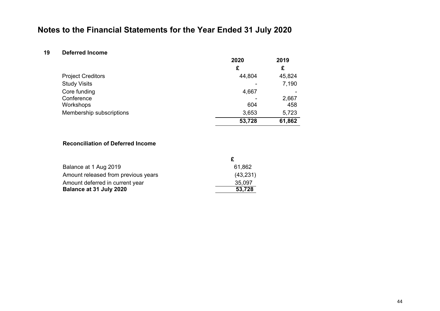#### **19 Deferred Income**

|                          | 2020   | 2019   |
|--------------------------|--------|--------|
|                          | £      | £      |
| <b>Project Creditors</b> | 44,804 | 45,824 |
| <b>Study Visits</b>      |        | 7,190  |
| Core funding             | 4,667  |        |
| Conference               |        | 2,667  |
| Workshops                | 604    | 458    |
| Membership subscriptions | 3,653  | 5,723  |
|                          | 53,728 | 61,862 |

#### **Reconciliation of Deferred Income**

| Balance at 1 Aug 2019               | 61,862    |
|-------------------------------------|-----------|
| Amount released from previous years | (43, 231) |
| Amount deferred in current year     | 35,097    |
| Balance at 31 July 2020             | 53,728    |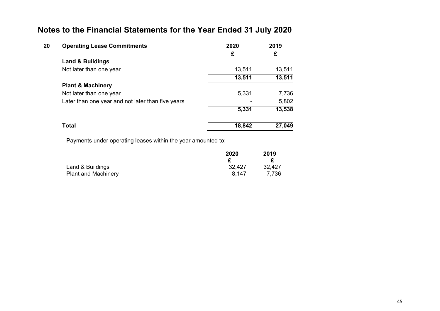| 20 | <b>Operating Lease Commitments</b>                | 2020   | 2019   |
|----|---------------------------------------------------|--------|--------|
|    |                                                   | £      | £      |
|    | <b>Land &amp; Buildings</b>                       |        |        |
|    | Not later than one year                           | 13,511 | 13,511 |
|    |                                                   | 13,511 | 13,511 |
|    | <b>Plant &amp; Machinery</b>                      |        |        |
|    | Not later than one year                           | 5,331  | 7,736  |
|    | Later than one year and not later than five years |        | 5,802  |
|    |                                                   | 5,331  | 13,538 |
|    | Total                                             | 18,842 | 27,049 |

Payments under operating leases within the year amounted to:

|                            | 2020   | 2019   |  |
|----------------------------|--------|--------|--|
|                            |        |        |  |
| Land & Buildings           | 32,427 | 32,427 |  |
| <b>Plant and Machinery</b> | 8.147  | 7,736  |  |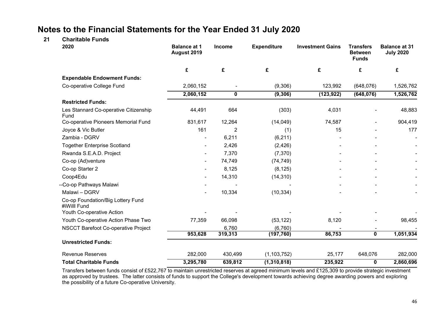**21 Charitable Funds** 

| 2020                                              | <b>Balance at 1</b><br>August 2019 | <b>Income</b> | <b>Expenditure</b> | <b>Investment Gains</b> | <b>Transfers</b><br><b>Between</b><br><b>Funds</b> | <b>Balance at 31</b><br><b>July 2020</b> |
|---------------------------------------------------|------------------------------------|---------------|--------------------|-------------------------|----------------------------------------------------|------------------------------------------|
|                                                   | £                                  | £             | £                  | £                       | £                                                  | £                                        |
| <b>Expendable Endowment Funds:</b>                |                                    |               |                    |                         |                                                    |                                          |
| Co-operative College Fund                         | 2,060,152                          |               | (9,306)            | 123,992                 | (648,076)                                          | 1,526,762                                |
|                                                   | 2,060,152                          | $\mathbf 0$   | (9,306)            | (123, 922)              | (648, 076)                                         | 1,526,762                                |
| <b>Restricted Funds:</b>                          |                                    |               |                    |                         |                                                    |                                          |
| Les Stannard Co-operative Citizenship<br>Fund     | 44,491                             | 664           | (303)              | 4,031                   |                                                    | 48,883                                   |
| Co-operative Pioneers Memorial Fund               | 831,617                            | 12,264        | (14, 049)          | 74,587                  |                                                    | 904,419                                  |
| Joyce & Vic Butler                                | 161                                | 2             | (1)                | 15                      |                                                    | 177                                      |
| Zambia - DGRV                                     |                                    | 6,211         | (6, 211)           |                         |                                                    |                                          |
| <b>Together Enterprise Scotland</b>               |                                    | 2,426         | (2, 426)           |                         |                                                    |                                          |
| Rwanda S.E.A.D. Project                           |                                    | 7,370         | (7, 370)           |                         |                                                    |                                          |
| Co-op (Ad)venture                                 |                                    | 74,749        | (74, 749)          |                         |                                                    |                                          |
| Co-op Starter 2                                   |                                    | 8,125         | (8, 125)           |                         |                                                    |                                          |
| Coop4Edu                                          |                                    | 14,310        | (14, 310)          |                         |                                                    |                                          |
| --Co-op Pathways Malawi                           |                                    |               |                    |                         |                                                    |                                          |
| Malawi - DGRV                                     |                                    | 10,334        | (10, 334)          |                         |                                                    |                                          |
| Co-op Foundation/Big Lottery Fund<br>#iWilll Fund |                                    |               |                    |                         |                                                    |                                          |
| Youth Co-operative Action                         |                                    |               |                    |                         |                                                    |                                          |
| Youth Co-operative Action Phase Two               | 77,359                             | 66,098        | (53, 122)          | 8,120                   |                                                    | 98,455                                   |
| NSCCT Barefoot Co-operative Project               |                                    | 6,760         | (6,760)            |                         | $\overline{\mathbf{0}}$                            |                                          |
|                                                   | 953,628                            | 319,313       | (197, 760)         | 86,753                  |                                                    | 1,051,934                                |
| <b>Unrestricted Funds:</b>                        |                                    |               |                    |                         |                                                    |                                          |
| <b>Revenue Reserves</b>                           | 282,000                            | 430,499       | (1, 103, 752)      | 25,177                  | 648,076                                            | 282,000                                  |
| <b>Total Charitable Funds</b>                     | 3,295,780                          | 639,812       | (1,310,818)        | 235,922                 | 0                                                  | 2,860,696                                |

Transfers between funds consist of £522,767 to maintain unrestricted reserves at agreed minimum levels and £125,309 to provide strategic investment as approved by trustees. The latter consists of funds to support the College's development towards achieving degree awarding powers and exploring the possibility of a future Co-operative University.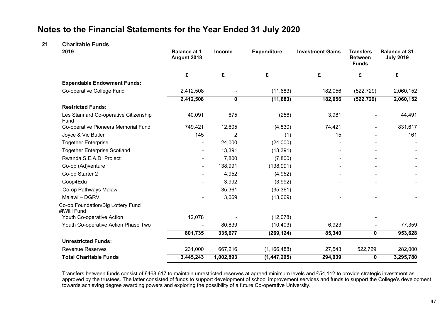#### **21 Charitable Funds**

| 2019                                              | <b>Balance at 1</b><br>August 2018 | <b>Income</b> | <b>Expenditure</b><br><b>Investment Gains</b> |         | <b>Transfers</b><br><b>Between</b><br><b>Funds</b> | <b>Balance at 31</b><br><b>July 2019</b> |
|---------------------------------------------------|------------------------------------|---------------|-----------------------------------------------|---------|----------------------------------------------------|------------------------------------------|
|                                                   | £                                  | £             | £                                             | £       | £                                                  | £                                        |
| <b>Expendable Endowment Funds:</b>                |                                    |               |                                               |         |                                                    |                                          |
| Co-operative College Fund                         | 2,412,508                          |               | (11,683)                                      | 182,056 | (522, 729)                                         | 2,060,152                                |
|                                                   | 2,412,508                          | $\mathbf 0$   | (11, 683)                                     | 182,056 | (522, 729)                                         | 2,060,152                                |
| <b>Restricted Funds:</b>                          |                                    |               |                                               |         |                                                    |                                          |
| Les Stannard Co-operative Citizenship<br>Fund     | 40,091                             | 675           | (256)                                         | 3,981   |                                                    | 44,491                                   |
| Co-operative Pioneers Memorial Fund               | 749,421                            | 12,605        | (4,830)                                       | 74,421  |                                                    | 831,617                                  |
| Joyce & Vic Butler                                | 145                                | 2             | (1)                                           | 15      |                                                    | 161                                      |
| <b>Together Enterprise</b>                        |                                    | 24,000        | (24,000)                                      |         |                                                    |                                          |
| <b>Together Enterprise Scotland</b>               |                                    | 13,391        | (13, 391)                                     |         |                                                    |                                          |
| Rwanda S.E.A.D. Project                           |                                    | 7,800         | (7,800)                                       |         |                                                    |                                          |
| Co-op (Ad)venture                                 |                                    | 138,991       | (138, 991)                                    |         |                                                    |                                          |
| Co-op Starter 2                                   |                                    | 4,952         | (4,952)                                       |         |                                                    |                                          |
| Coop4Edu                                          |                                    | 3,992         | (3,992)                                       |         |                                                    |                                          |
| --Co-op Pathways Malawi                           |                                    | 35,361        | (35, 361)                                     |         |                                                    |                                          |
| Malawi - DGRV                                     |                                    | 13,069        | (13,069)                                      |         |                                                    |                                          |
| Co-op Foundation/Big Lottery Fund<br>#iWilll Fund |                                    |               |                                               |         |                                                    |                                          |
| Youth Co-operative Action                         | 12,078                             |               | (12,078)                                      |         |                                                    |                                          |
| Youth Co-operative Action Phase Two               |                                    | 80,839        | (10, 403)                                     | 6,923   |                                                    | 77,359                                   |
|                                                   | 801,735                            | 335,677       | (269, 124)                                    | 85,340  | 0                                                  | 953,628                                  |
| <b>Unrestricted Funds:</b>                        |                                    |               |                                               |         |                                                    |                                          |
| <b>Revenue Reserves</b>                           | 231,000                            | 667,216       | (1, 166, 488)                                 | 27,543  | 522,729                                            | 282,000                                  |
| <b>Total Charitable Funds</b>                     | 3,445,243                          | 1,002,893     | (1, 447, 295)                                 | 294,939 | 0                                                  | 3,295,780                                |

Transfers between funds consist of £468,617 to maintain unrestricted reserves at agreed minimum levels and £54,112 to provide strategic investment as approved by the trustees. The latter consisted of funds to support development of school improvement services and funds to support the College's development towards achieving degree awarding powers and exploring the possibility of a future Co-operative University.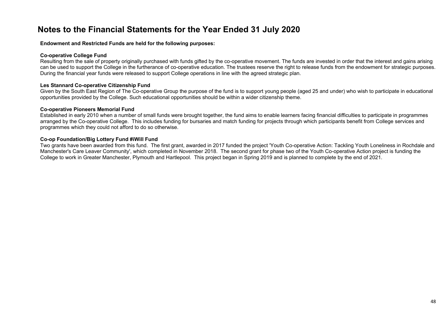**Endowment and Restricted Funds are held for the following purposes:** 

#### **Co-operative College Fund**

Resulting from the sale of property originally purchased with funds gifted by the co-operative movement. The funds are invested in order that the interest and gains arising can be used to support the College in the furtherance of co-operative education. The trustees reserve the right to release funds from the endowment for strategic purposes. During the financial year funds were released to support College operations in line with the agreed strategic plan.

#### **Les Stannard Co-operative Citizenship Fund**

Given by the South East Region of The Co-operative Group the purpose of the fund is to support young people (aged 25 and under) who wish to participate in educational opportunities provided by the College. Such educational opportunities should be within a wider citizenship theme.

#### **Co-operative Pioneers Memorial Fund**

Established in early 2010 when a number of small funds were brought together, the fund aims to enable learners facing financial difficulties to participate in programmes arranged by the Co-operative College. This includes funding for bursaries and match funding for projects through which participants benefit from College services and programmes which they could not afford to do so otherwise.

#### **Co-op Foundation/Big Lottery Fund #iWill Fund**

Two grants have been awarded from this fund. The first grant, awarded in 2017 funded the project 'Youth Co-operative Action: Tackling Youth Loneliness in Rochdale and Manchester's Care Leaver Community', which completed in November 2018. The second grant for phase two of the Youth Co-operative Action project is funding the College to work in Greater Manchester, Plymouth and Hartlepool. This project began in Spring 2019 and is planned to complete by the end of 2021.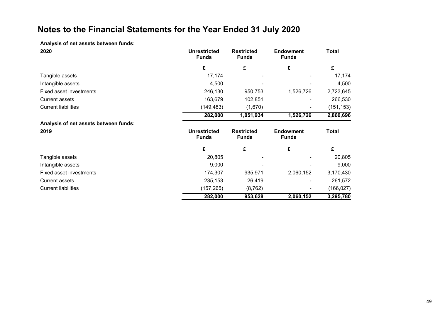**Analysis of net assets between funds:** 

| 2020                                  | <b>Unrestricted</b><br><b>Funds</b> | <b>Restricted</b><br><b>Funds</b> | <b>Endowment</b><br><b>Funds</b> | <b>Total</b> |
|---------------------------------------|-------------------------------------|-----------------------------------|----------------------------------|--------------|
|                                       | £                                   | £                                 | £                                | £            |
| Tangible assets                       | 17,174                              |                                   |                                  | 17,174       |
| Intangible assets                     | 4,500                               |                                   |                                  | 4,500        |
| Fixed asset investments               | 246,130                             | 950,753                           | 1,526,726                        | 2,723,645    |
| <b>Current assets</b>                 | 163,679                             | 102,851                           |                                  | 266,530      |
| <b>Current liabilities</b>            | (149, 483)                          | (1,670)                           |                                  | (151, 153)   |
|                                       | 282,000                             | 1,051,934                         | 1,526,726                        | 2,860,696    |
| Analysis of net assets between funds: |                                     |                                   |                                  |              |
| 2019                                  | <b>Unrestricted</b><br><b>Funds</b> | <b>Restricted</b><br><b>Funds</b> | <b>Endowment</b><br><b>Funds</b> | <b>Total</b> |
|                                       | £                                   | £                                 | £                                | £            |
| Tangible assets                       | 20,805                              |                                   |                                  | 20,805       |
| Intangible assets                     | 9,000                               |                                   |                                  | 9,000        |
| Fixed asset investments               | 174,307                             | 935,971                           | 2,060,152                        | 3,170,430    |
| <b>Current assets</b>                 | 235,153                             | 26,419                            |                                  | 261,572      |
| <b>Current liabilities</b>            | (157, 265)                          | (8, 762)                          |                                  | (166, 027)   |
|                                       | 282,000                             | 953,628                           | 2,060,152                        | 3,295,780    |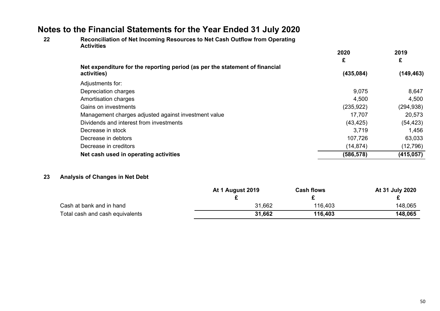**22 Reconciliation of Net Incoming Resources to Net Cash Outflow from Operating** 

**Activities**

|                                                                             | 2020       | 2019       |
|-----------------------------------------------------------------------------|------------|------------|
|                                                                             | £          | £          |
| Net expenditure for the reporting period (as per the statement of financial |            |            |
| activities)                                                                 | (435,084)  | (149, 463) |
| Adjustments for:                                                            |            |            |
| Depreciation charges                                                        | 9,075      | 8,647      |
| Amortisation charges                                                        | 4,500      | 4,500      |
| Gains on investments                                                        | (235, 922) | (294, 938) |
| Management charges adjusted against investment value                        | 17,707     | 20,573     |
| Dividends and interest from investments                                     | (43, 425)  | (54, 423)  |
| Decrease in stock                                                           | 3,719      | 1,456      |
| Decrease in debtors                                                         | 107,726    | 63,033     |
| Decrease in creditors                                                       | (14, 874)  | (12,796)   |
| Net cash used in operating activities                                       | (586, 578) | (415, 057) |

#### **23 Analysis of Changes in Net Debt**

|                                 | <b>At 1 August 2019</b> | <b>Cash flows</b> | At 31 July 2020 |
|---------------------------------|-------------------------|-------------------|-----------------|
|                                 |                         |                   |                 |
| Cash at bank and in hand        | 31,662                  | 116,403           | 148,065         |
| Total cash and cash equivalents | 31,662                  | 116,403           | 148,065         |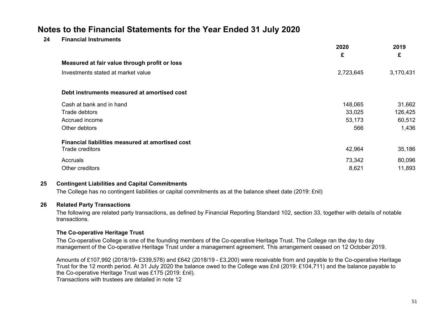#### **24 Financial Instruments**

|                                                  | 2020<br>£ | 2019<br>£ |
|--------------------------------------------------|-----------|-----------|
| Measured at fair value through profit or loss    |           |           |
| Investments stated at market value               | 2,723,645 | 3,170,431 |
| Debt instruments measured at amortised cost      |           |           |
| Cash at bank and in hand                         | 148,065   | 31,662    |
| Trade debtors                                    | 33,025    | 126,425   |
| Accrued income                                   | 53,173    | 60,512    |
| Other debtors                                    | 566       | 1,436     |
| Financial liabilities measured at amortised cost |           |           |
| Trade creditors                                  | 42,964    | 35,186    |
| Accruals                                         | 73,342    | 80,096    |
| Other creditors                                  | 8,621     | 11,893    |

#### **25 Contingent Liabilities and Capital Commitments**

The College has no contingent liabilities or capital commitments as at the balance sheet date (2019: £nil)

#### **26 Related Party Transactions**

The following are related party transactions, as defined by Financial Reporting Standard 102, section 33, together with details of notable transactions.

#### **The Co-operative Heritage Trust**

The Co-operative College is one of the founding members of the Co-operative Heritage Trust. The College ran the day to day management of the Co-operative Heritage Trust under a management agreement. This arrangement ceased on 12 October 2019.

Amounts of £107,992 (2018/19- £339,578) and £642 (2018/19 - £3,200) were receivable from and payable to the Co-operative Heritage Trust for the 12 month period. At 31 July 2020 the balance owed to the College was £nil (2019: £104,711) and the balance payable to the Co-operative Heritage Trust was £175 (2019: £nil).

Transactions with trustees are detailed in note 12